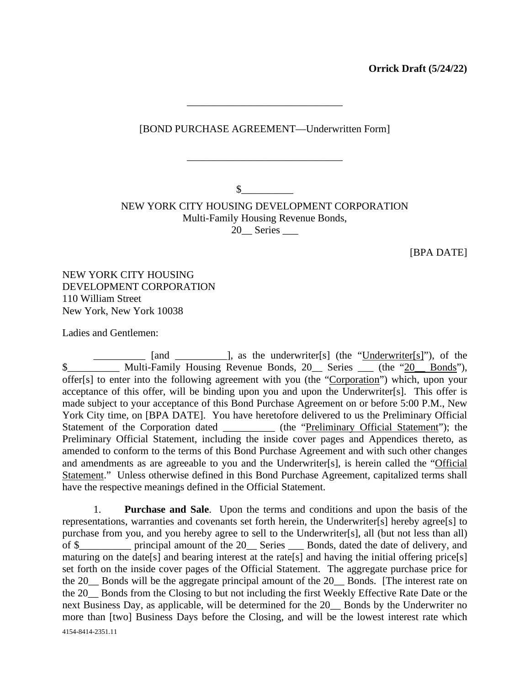**Orrick Draft (5/24/22)** 

[BOND PURCHASE AGREEMENT—Underwritten Form]

\_\_\_\_\_\_\_\_\_\_\_\_\_\_\_\_\_\_\_\_\_\_\_\_\_\_\_\_\_\_

\_\_\_\_\_\_\_\_\_\_\_\_\_\_\_\_\_\_\_\_\_\_\_\_\_\_\_\_\_\_

 $\sim$ 

NEW YORK CITY HOUSING DEVELOPMENT CORPORATION Multi-Family Housing Revenue Bonds, 20\_\_ Series \_\_\_

[BPA DATE]

NEW YORK CITY HOUSING DEVELOPMENT CORPORATION 110 William Street New York, New York 10038

Ladies and Gentlemen:

[and \_\_\_\_\_\_\_\_], as the underwriter[s] (the "Underwriter[s]"), of the \$ Multi-Family Housing Revenue Bonds, 20 Series (the "20 Bonds"), offer[s] to enter into the following agreement with you (the "Corporation") which, upon your acceptance of this offer, will be binding upon you and upon the Underwriter[s]. This offer is made subject to your acceptance of this Bond Purchase Agreement on or before 5:00 P.M., New York City time, on [BPA DATE]. You have heretofore delivered to us the Preliminary Official Statement of the Corporation dated \_\_\_\_\_\_\_\_\_\_\_ (the "Preliminary Official Statement"); the Preliminary Official Statement, including the inside cover pages and Appendices thereto, as amended to conform to the terms of this Bond Purchase Agreement and with such other changes and amendments as are agreeable to you and the Underwriter[s], is herein called the "Official Statement." Unless otherwise defined in this Bond Purchase Agreement, capitalized terms shall have the respective meanings defined in the Official Statement.

4154-8414-2351.11 1. **Purchase and Sale**. Upon the terms and conditions and upon the basis of the representations, warranties and covenants set forth herein, the Underwriter[s] hereby agree[s] to purchase from you, and you hereby agree to sell to the Underwriter[s], all (but not less than all) of \$\_\_\_\_\_\_\_\_\_\_ principal amount of the 20\_\_ Series \_\_\_ Bonds, dated the date of delivery, and maturing on the date[s] and bearing interest at the rate[s] and having the initial offering price[s] set forth on the inside cover pages of the Official Statement. The aggregate purchase price for the 20\_\_ Bonds will be the aggregate principal amount of the 20\_\_ Bonds. [The interest rate on the 20\_\_ Bonds from the Closing to but not including the first Weekly Effective Rate Date or the next Business Day, as applicable, will be determined for the 20\_\_ Bonds by the Underwriter no more than [two] Business Days before the Closing, and will be the lowest interest rate which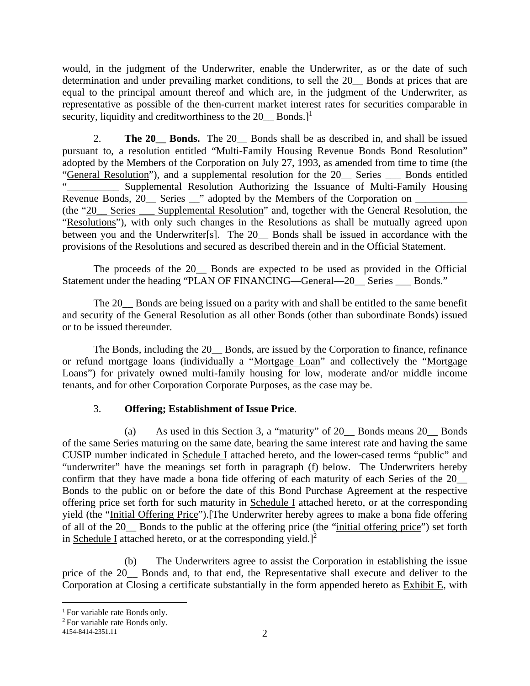would, in the judgment of the Underwriter, enable the Underwriter, as or the date of such determination and under prevailing market conditions, to sell the 20\_\_ Bonds at prices that are equal to the principal amount thereof and which are, in the judgment of the Underwriter, as representative as possible of the then-current market interest rates for securities comparable in security, liquidity and creditworthiness to the  $20$  Bonds.]<sup>1</sup>

2. **The 20 Bonds.** The 20 Bonds shall be as described in, and shall be issued pursuant to, a resolution entitled "Multi-Family Housing Revenue Bonds Bond Resolution" adopted by the Members of the Corporation on July 27, 1993, as amended from time to time (the "General Resolution"), and a supplemental resolution for the 20\_\_ Series \_\_\_ Bonds entitled Supplemental Resolution Authorizing the Issuance of Multi-Family Housing Revenue Bonds, 20\_\_ Series \_\_" adopted by the Members of the Corporation on \_\_\_\_\_\_\_\_\_\_ (the "20\_\_ Series \_\_\_ Supplemental Resolution" and, together with the General Resolution, the "Resolutions"), with only such changes in the Resolutions as shall be mutually agreed upon between you and the Underwriter[s]. The 20 Bonds shall be issued in accordance with the provisions of the Resolutions and secured as described therein and in the Official Statement.

The proceeds of the 20\_\_ Bonds are expected to be used as provided in the Official Statement under the heading "PLAN OF FINANCING—General—20\_\_ Series \_\_\_ Bonds."

The 20\_\_ Bonds are being issued on a parity with and shall be entitled to the same benefit and security of the General Resolution as all other Bonds (other than subordinate Bonds) issued or to be issued thereunder.

The Bonds, including the 20 Bonds, are issued by the Corporation to finance, refinance or refund mortgage loans (individually a "Mortgage Loan" and collectively the "Mortgage Loans") for privately owned multi-family housing for low, moderate and/or middle income tenants, and for other Corporation Corporate Purposes, as the case may be.

## 3. **Offering; Establishment of Issue Price**.

(a) As used in this Section 3, a "maturity" of 20\_\_ Bonds means 20\_\_ Bonds of the same Series maturing on the same date, bearing the same interest rate and having the same CUSIP number indicated in Schedule I attached hereto, and the lower-cased terms "public" and "underwriter" have the meanings set forth in paragraph (f) below. The Underwriters hereby confirm that they have made a bona fide offering of each maturity of each Series of the 20\_\_ Bonds to the public on or before the date of this Bond Purchase Agreement at the respective offering price set forth for such maturity in Schedule I attached hereto, or at the corresponding yield (the "Initial Offering Price").[The Underwriter hereby agrees to make a bona fide offering of all of the 20\_\_ Bonds to the public at the offering price (the "initial offering price") set forth in Schedule I attached hereto, or at the corresponding yield.]<sup>2</sup>

(b) The Underwriters agree to assist the Corporation in establishing the issue price of the 20 Bonds and, to that end, the Representative shall execute and deliver to the Corporation at Closing a certificate substantially in the form appended hereto as Exhibit E, with

<sup>&</sup>lt;sup>1</sup> For variable rate Bonds only.

<sup>2</sup> For variable rate Bonds only.

<sup>4154-8414-2351.11</sup>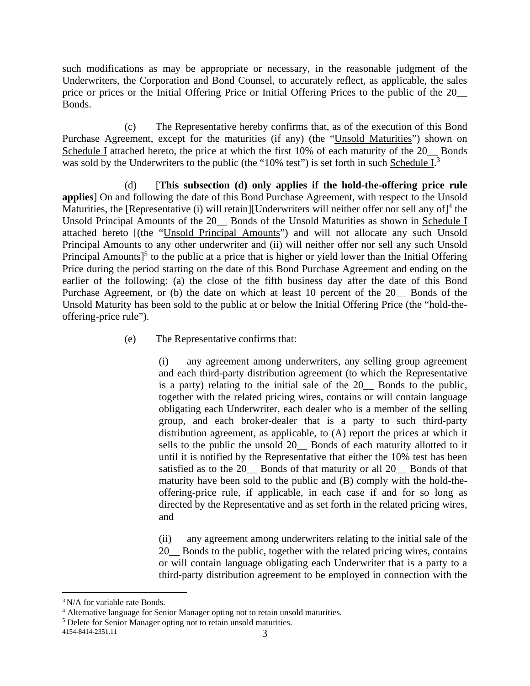such modifications as may be appropriate or necessary, in the reasonable judgment of the Underwriters, the Corporation and Bond Counsel, to accurately reflect, as applicable, the sales price or prices or the Initial Offering Price or Initial Offering Prices to the public of the 20\_\_ Bonds.

(c) The Representative hereby confirms that, as of the execution of this Bond Purchase Agreement, except for the maturities (if any) (the "Unsold Maturities") shown on Schedule I attached hereto, the price at which the first 10% of each maturity of the 20 Bonds was sold by the Underwriters to the public (the "10% test") is set forth in such Schedule I.<sup>3</sup>

(d) [**This subsection (d) only applies if the hold-the-offering price rule applies**] On and following the date of this Bond Purchase Agreement, with respect to the Unsold Maturities, the [Representative (i) will retain][Underwriters will neither offer nor sell any of]<sup>4</sup> the Unsold Principal Amounts of the 20\_\_ Bonds of the Unsold Maturities as shown in Schedule I attached hereto [(the "Unsold Principal Amounts") and will not allocate any such Unsold Principal Amounts to any other underwriter and (ii) will neither offer nor sell any such Unsold Principal Amounts]<sup>5</sup> to the public at a price that is higher or yield lower than the Initial Offering Price during the period starting on the date of this Bond Purchase Agreement and ending on the earlier of the following: (a) the close of the fifth business day after the date of this Bond Purchase Agreement, or (b) the date on which at least 10 percent of the 20\_\_ Bonds of the Unsold Maturity has been sold to the public at or below the Initial Offering Price (the "hold-theoffering-price rule").

(e) The Representative confirms that:

(i) any agreement among underwriters, any selling group agreement and each third-party distribution agreement (to which the Representative is a party) relating to the initial sale of the 20\_\_ Bonds to the public, together with the related pricing wires, contains or will contain language obligating each Underwriter, each dealer who is a member of the selling group, and each broker-dealer that is a party to such third-party distribution agreement, as applicable, to (A) report the prices at which it sells to the public the unsold 20 Bonds of each maturity allotted to it until it is notified by the Representative that either the 10% test has been satisfied as to the 20 Bonds of that maturity or all 20 Bonds of that maturity have been sold to the public and (B) comply with the hold-theoffering-price rule, if applicable, in each case if and for so long as directed by the Representative and as set forth in the related pricing wires, and

(ii) any agreement among underwriters relating to the initial sale of the 20 Bonds to the public, together with the related pricing wires, contains or will contain language obligating each Underwriter that is a party to a third-party distribution agreement to be employed in connection with the

<sup>&</sup>lt;sup>3</sup> N/A for variable rate Bonds.

<sup>&</sup>lt;sup>4</sup> Alternative language for Senior Manager opting not to retain unsold maturities.

<sup>&</sup>lt;sup>5</sup> Delete for Senior Manager opting not to retain unsold maturities.

<sup>4154-8414-2351.11</sup>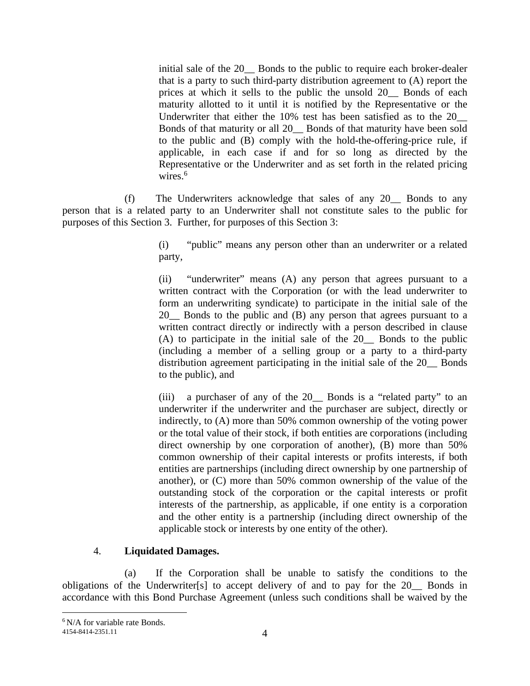initial sale of the 20\_\_ Bonds to the public to require each broker-dealer that is a party to such third-party distribution agreement to (A) report the prices at which it sells to the public the unsold 20\_\_ Bonds of each maturity allotted to it until it is notified by the Representative or the Underwriter that either the 10% test has been satisfied as to the 20\_\_ Bonds of that maturity or all 20\_\_ Bonds of that maturity have been sold to the public and (B) comply with the hold-the-offering-price rule, if applicable, in each case if and for so long as directed by the Representative or the Underwriter and as set forth in the related pricing wires. $6$ 

(f) The Underwriters acknowledge that sales of any 20\_\_ Bonds to any person that is a related party to an Underwriter shall not constitute sales to the public for purposes of this Section 3. Further, for purposes of this Section 3:

> (i) "public" means any person other than an underwriter or a related party,

> (ii) "underwriter" means (A) any person that agrees pursuant to a written contract with the Corporation (or with the lead underwriter to form an underwriting syndicate) to participate in the initial sale of the 20\_\_ Bonds to the public and (B) any person that agrees pursuant to a written contract directly or indirectly with a person described in clause (A) to participate in the initial sale of the 20\_\_ Bonds to the public (including a member of a selling group or a party to a third-party distribution agreement participating in the initial sale of the 20\_\_ Bonds to the public), and

> (iii) a purchaser of any of the 20\_\_ Bonds is a "related party" to an underwriter if the underwriter and the purchaser are subject, directly or indirectly, to (A) more than 50% common ownership of the voting power or the total value of their stock, if both entities are corporations (including direct ownership by one corporation of another), (B) more than 50% common ownership of their capital interests or profits interests, if both entities are partnerships (including direct ownership by one partnership of another), or (C) more than 50% common ownership of the value of the outstanding stock of the corporation or the capital interests or profit interests of the partnership, as applicable, if one entity is a corporation and the other entity is a partnership (including direct ownership of the applicable stock or interests by one entity of the other).

#### 4. **Liquidated Damages.**

(a) If the Corporation shall be unable to satisfy the conditions to the obligations of the Underwriter[s] to accept delivery of and to pay for the 20\_\_ Bonds in accordance with this Bond Purchase Agreement (unless such conditions shall be waived by the

<sup>6</sup> N/A for variable rate Bonds.

<sup>4154-8414-2351.11</sup>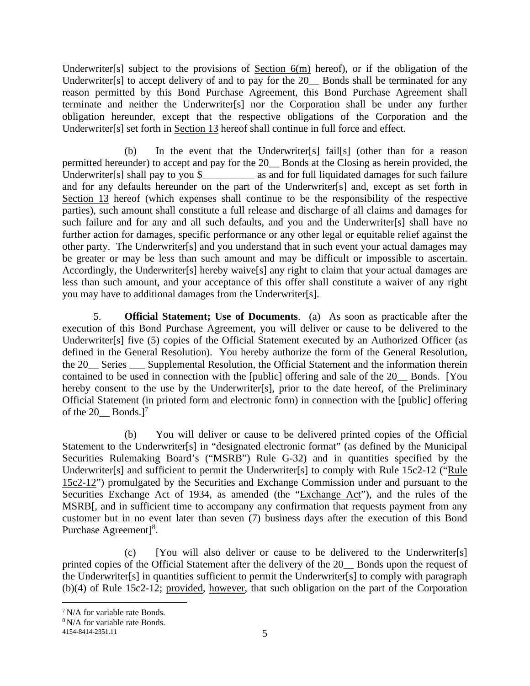Underwriter[s] subject to the provisions of Section  $6(m)$  hereof), or if the obligation of the Underwriter<sup>[s]</sup> to accept delivery of and to pay for the 20\_\_ Bonds shall be terminated for any reason permitted by this Bond Purchase Agreement, this Bond Purchase Agreement shall terminate and neither the Underwriter[s] nor the Corporation shall be under any further obligation hereunder, except that the respective obligations of the Corporation and the Underwriter[s] set forth in Section 13 hereof shall continue in full force and effect.

(b) In the event that the Underwriter[s] fail[s] (other than for a reason permitted hereunder) to accept and pay for the 20\_\_ Bonds at the Closing as herein provided, the Underwriter[s] shall pay to you \$\_\_\_\_\_\_\_\_\_\_\_\_ as and for full liquidated damages for such failure and for any defaults hereunder on the part of the Underwriter[s] and, except as set forth in Section 13 hereof (which expenses shall continue to be the responsibility of the respective parties), such amount shall constitute a full release and discharge of all claims and damages for such failure and for any and all such defaults, and you and the Underwriter[s] shall have no further action for damages, specific performance or any other legal or equitable relief against the other party. The Underwriter[s] and you understand that in such event your actual damages may be greater or may be less than such amount and may be difficult or impossible to ascertain. Accordingly, the Underwriter[s] hereby waive[s] any right to claim that your actual damages are less than such amount, and your acceptance of this offer shall constitute a waiver of any right you may have to additional damages from the Underwriter[s].

5. **Official Statement; Use of Documents**. (a) As soon as practicable after the execution of this Bond Purchase Agreement, you will deliver or cause to be delivered to the Underwriter[s] five (5) copies of the Official Statement executed by an Authorized Officer (as defined in the General Resolution). You hereby authorize the form of the General Resolution, the 20 Series Supplemental Resolution, the Official Statement and the information therein contained to be used in connection with the [public] offering and sale of the 20\_\_ Bonds. [You hereby consent to the use by the Underwriter[s], prior to the date hereof, of the Preliminary Official Statement (in printed form and electronic form) in connection with the [public] offering of the  $20$  Bonds.]<sup>7</sup>

(b) You will deliver or cause to be delivered printed copies of the Official Statement to the Underwriter<sup>[s]</sup> in "designated electronic format" (as defined by the Municipal Securities Rulemaking Board's ("MSRB") Rule G-32) and in quantities specified by the Underwriter[s] and sufficient to permit the Underwriter[s] to comply with Rule 15c2-12 ("Rule 15c2-12") promulgated by the Securities and Exchange Commission under and pursuant to the Securities Exchange Act of 1934, as amended (the "Exchange Act"), and the rules of the MSRB[, and in sufficient time to accompany any confirmation that requests payment from any customer but in no event later than seven (7) business days after the execution of this Bond Purchase Agreement]<sup>8</sup>.

(c) [You will also deliver or cause to be delivered to the Underwriter[s] printed copies of the Official Statement after the delivery of the 20 Bonds upon the request of the Underwriter[s] in quantities sufficient to permit the Underwriter[s] to comply with paragraph (b)(4) of Rule 15c2-12; provided, however, that such obligation on the part of the Corporation

<sup>7</sup>N/A for variable rate Bonds.

<sup>8</sup> N/A for variable rate Bonds.

<sup>4154-8414-2351.11</sup>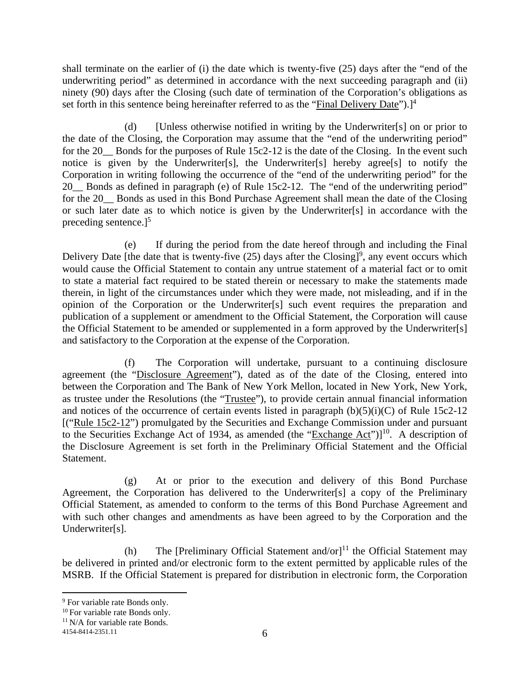shall terminate on the earlier of (i) the date which is twenty-five (25) days after the "end of the underwriting period" as determined in accordance with the next succeeding paragraph and (ii) ninety (90) days after the Closing (such date of termination of the Corporation's obligations as set forth in this sentence being hereinafter referred to as the "Final Delivery Date").]<sup>4</sup>

(d) [Unless otherwise notified in writing by the Underwriter[s] on or prior to the date of the Closing, the Corporation may assume that the "end of the underwriting period" for the 20 Bonds for the purposes of Rule 15c2-12 is the date of the Closing. In the event such notice is given by the Underwriter[s], the Underwriter[s] hereby agree[s] to notify the Corporation in writing following the occurrence of the "end of the underwriting period" for the 20 Bonds as defined in paragraph (e) of Rule 15c2-12. The "end of the underwriting period" for the 20 Bonds as used in this Bond Purchase Agreement shall mean the date of the Closing or such later date as to which notice is given by the Underwriter[s] in accordance with the preceding sentence. $]^{5}$ 

(e) If during the period from the date hereof through and including the Final Delivery Date [the date that is twenty-five  $(25)$  days after the Closing]<sup>9</sup>, any event occurs which would cause the Official Statement to contain any untrue statement of a material fact or to omit to state a material fact required to be stated therein or necessary to make the statements made therein, in light of the circumstances under which they were made, not misleading, and if in the opinion of the Corporation or the Underwriter[s] such event requires the preparation and publication of a supplement or amendment to the Official Statement, the Corporation will cause the Official Statement to be amended or supplemented in a form approved by the Underwriter[s] and satisfactory to the Corporation at the expense of the Corporation.

(f) The Corporation will undertake, pursuant to a continuing disclosure agreement (the "Disclosure Agreement"), dated as of the date of the Closing, entered into between the Corporation and The Bank of New York Mellon, located in New York, New York, as trustee under the Resolutions (the "Trustee"), to provide certain annual financial information and notices of the occurrence of certain events listed in paragraph  $(b)(5)(i)(C)$  of Rule 15c2-12 [("Rule 15c2-12") promulgated by the Securities and Exchange Commission under and pursuant to the Securities Exchange Act of 1934, as amended (the "Exchange Act") $]^{10}$ . A description of the Disclosure Agreement is set forth in the Preliminary Official Statement and the Official Statement.

(g) At or prior to the execution and delivery of this Bond Purchase Agreement, the Corporation has delivered to the Underwriter[s] a copy of the Preliminary Official Statement, as amended to conform to the terms of this Bond Purchase Agreement and with such other changes and amendments as have been agreed to by the Corporation and the Underwriter[s].

(h) The [Preliminary Official Statement and/or]<sup>11</sup> the Official Statement may be delivered in printed and/or electronic form to the extent permitted by applicable rules of the MSRB. If the Official Statement is prepared for distribution in electronic form, the Corporation

<sup>11</sup> N/A for variable rate Bonds.

<sup>&</sup>lt;sup>9</sup> For variable rate Bonds only.

<sup>&</sup>lt;sup>10</sup> For variable rate Bonds only.

<sup>4154-8414-2351.11</sup>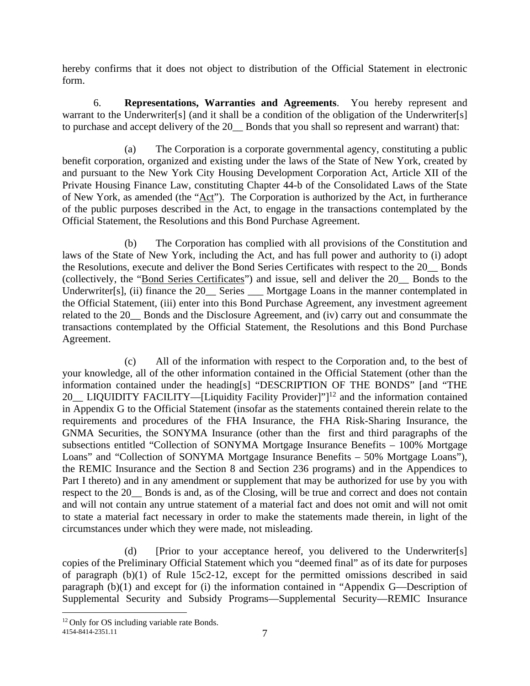hereby confirms that it does not object to distribution of the Official Statement in electronic form.

6. **Representations, Warranties and Agreements**. You hereby represent and warrant to the Underwriter<sup>[s]</sup> (and it shall be a condition of the obligation of the Underwriter<sup>[s]</sup> to purchase and accept delivery of the 20\_\_ Bonds that you shall so represent and warrant) that:

(a) The Corporation is a corporate governmental agency, constituting a public benefit corporation, organized and existing under the laws of the State of New York, created by and pursuant to the New York City Housing Development Corporation Act, Article XII of the Private Housing Finance Law, constituting Chapter 44-b of the Consolidated Laws of the State of New York, as amended (the "Act"). The Corporation is authorized by the Act, in furtherance of the public purposes described in the Act, to engage in the transactions contemplated by the Official Statement, the Resolutions and this Bond Purchase Agreement.

(b) The Corporation has complied with all provisions of the Constitution and laws of the State of New York, including the Act, and has full power and authority to (i) adopt the Resolutions, execute and deliver the Bond Series Certificates with respect to the 20\_\_ Bonds (collectively, the "Bond Series Certificates") and issue, sell and deliver the 20\_\_ Bonds to the Underwriter[s], (ii) finance the 20 Series Mortgage Loans in the manner contemplated in the Official Statement, (iii) enter into this Bond Purchase Agreement, any investment agreement related to the 20\_\_ Bonds and the Disclosure Agreement, and (iv) carry out and consummate the transactions contemplated by the Official Statement, the Resolutions and this Bond Purchase Agreement.

(c) All of the information with respect to the Corporation and, to the best of your knowledge, all of the other information contained in the Official Statement (other than the information contained under the heading[s] "DESCRIPTION OF THE BONDS" [and "THE 20 LIQUIDITY FACILITY—[Liquidity Facility Provider]"]<sup>12</sup> and the information contained in Appendix G to the Official Statement (insofar as the statements contained therein relate to the requirements and procedures of the FHA Insurance, the FHA Risk-Sharing Insurance, the GNMA Securities, the SONYMA Insurance (other than the first and third paragraphs of the subsections entitled "Collection of SONYMA Mortgage Insurance Benefits – 100% Mortgage Loans" and "Collection of SONYMA Mortgage Insurance Benefits – 50% Mortgage Loans"), the REMIC Insurance and the Section 8 and Section 236 programs) and in the Appendices to Part I thereto) and in any amendment or supplement that may be authorized for use by you with respect to the 20\_\_ Bonds is and, as of the Closing, will be true and correct and does not contain and will not contain any untrue statement of a material fact and does not omit and will not omit to state a material fact necessary in order to make the statements made therein, in light of the circumstances under which they were made, not misleading.

(d) [Prior to your acceptance hereof, you delivered to the Underwriter[s] copies of the Preliminary Official Statement which you "deemed final" as of its date for purposes of paragraph  $(b)(1)$  of Rule 15c2-12, except for the permitted omissions described in said paragraph (b)(1) and except for (i) the information contained in "Appendix G—Description of Supplemental Security and Subsidy Programs—Supplemental Security—REMIC Insurance

<sup>&</sup>lt;sup>12</sup> Only for OS including variable rate Bonds.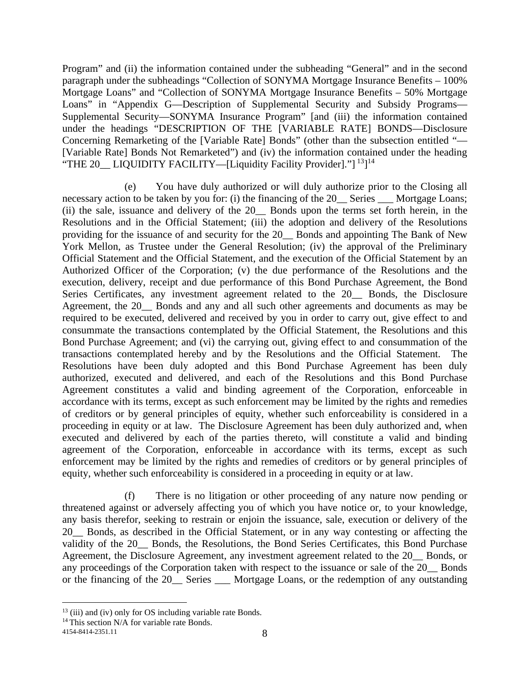Program" and (ii) the information contained under the subheading "General" and in the second paragraph under the subheadings "Collection of SONYMA Mortgage Insurance Benefits – 100% Mortgage Loans" and "Collection of SONYMA Mortgage Insurance Benefits – 50% Mortgage Loans" in "Appendix G—Description of Supplemental Security and Subsidy Programs— Supplemental Security—SONYMA Insurance Program" [and (iii) the information contained under the headings "DESCRIPTION OF THE [VARIABLE RATE] BONDS—Disclosure Concerning Remarketing of the [Variable Rate] Bonds" (other than the subsection entitled "— [Variable Rate] Bonds Not Remarketed") and (iv) the information contained under the heading "THE 20\_LIQUIDITY FACILITY—[Liquidity Facility Provider]."]<sup>13</sup>]<sup>14</sup>

(e) You have duly authorized or will duly authorize prior to the Closing all necessary action to be taken by you for: (i) the financing of the 20 Series Mortgage Loans; (ii) the sale, issuance and delivery of the 20\_\_ Bonds upon the terms set forth herein, in the Resolutions and in the Official Statement; (iii) the adoption and delivery of the Resolutions providing for the issuance of and security for the 20\_\_ Bonds and appointing The Bank of New York Mellon, as Trustee under the General Resolution; (iv) the approval of the Preliminary Official Statement and the Official Statement, and the execution of the Official Statement by an Authorized Officer of the Corporation; (v) the due performance of the Resolutions and the execution, delivery, receipt and due performance of this Bond Purchase Agreement, the Bond Series Certificates, any investment agreement related to the 20 Bonds, the Disclosure Agreement, the 20\_\_ Bonds and any and all such other agreements and documents as may be required to be executed, delivered and received by you in order to carry out, give effect to and consummate the transactions contemplated by the Official Statement, the Resolutions and this Bond Purchase Agreement; and (vi) the carrying out, giving effect to and consummation of the transactions contemplated hereby and by the Resolutions and the Official Statement. The Resolutions have been duly adopted and this Bond Purchase Agreement has been duly authorized, executed and delivered, and each of the Resolutions and this Bond Purchase Agreement constitutes a valid and binding agreement of the Corporation, enforceable in accordance with its terms, except as such enforcement may be limited by the rights and remedies of creditors or by general principles of equity, whether such enforceability is considered in a proceeding in equity or at law. The Disclosure Agreement has been duly authorized and, when executed and delivered by each of the parties thereto, will constitute a valid and binding agreement of the Corporation, enforceable in accordance with its terms, except as such enforcement may be limited by the rights and remedies of creditors or by general principles of equity, whether such enforceability is considered in a proceeding in equity or at law.

(f) There is no litigation or other proceeding of any nature now pending or threatened against or adversely affecting you of which you have notice or, to your knowledge, any basis therefor, seeking to restrain or enjoin the issuance, sale, execution or delivery of the 20\_\_ Bonds, as described in the Official Statement, or in any way contesting or affecting the validity of the 20\_\_ Bonds, the Resolutions, the Bond Series Certificates, this Bond Purchase Agreement, the Disclosure Agreement, any investment agreement related to the 20\_\_ Bonds, or any proceedings of the Corporation taken with respect to the issuance or sale of the 20\_\_ Bonds or the financing of the 20\_\_ Series \_\_\_ Mortgage Loans, or the redemption of any outstanding

 $13$  (iii) and (iv) only for OS including variable rate Bonds.

<sup>&</sup>lt;sup>14</sup> This section N/A for variable rate Bonds.

<sup>4154-8414-2351.11</sup>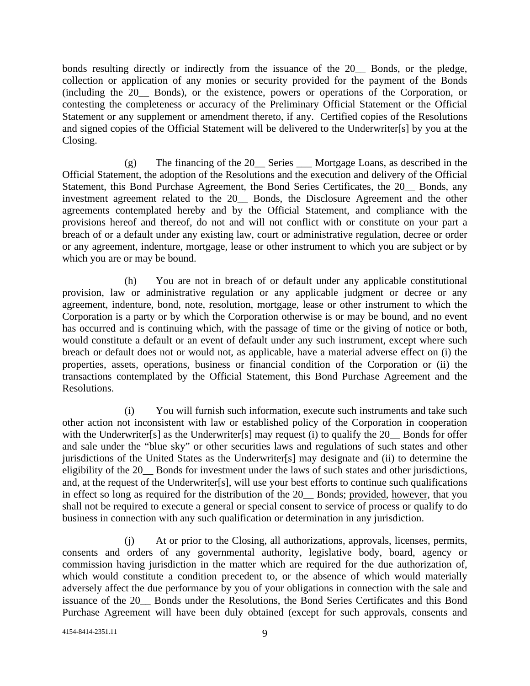bonds resulting directly or indirectly from the issuance of the 20\_\_ Bonds, or the pledge, collection or application of any monies or security provided for the payment of the Bonds (including the 20\_\_ Bonds), or the existence, powers or operations of the Corporation, or contesting the completeness or accuracy of the Preliminary Official Statement or the Official Statement or any supplement or amendment thereto, if any. Certified copies of the Resolutions and signed copies of the Official Statement will be delivered to the Underwriter[s] by you at the Closing.

(g) The financing of the 20\_\_ Series \_\_\_ Mortgage Loans, as described in the Official Statement, the adoption of the Resolutions and the execution and delivery of the Official Statement, this Bond Purchase Agreement, the Bond Series Certificates, the 20 Bonds, any investment agreement related to the 20\_\_ Bonds, the Disclosure Agreement and the other agreements contemplated hereby and by the Official Statement, and compliance with the provisions hereof and thereof, do not and will not conflict with or constitute on your part a breach of or a default under any existing law, court or administrative regulation, decree or order or any agreement, indenture, mortgage, lease or other instrument to which you are subject or by which you are or may be bound.

(h) You are not in breach of or default under any applicable constitutional provision, law or administrative regulation or any applicable judgment or decree or any agreement, indenture, bond, note, resolution, mortgage, lease or other instrument to which the Corporation is a party or by which the Corporation otherwise is or may be bound, and no event has occurred and is continuing which, with the passage of time or the giving of notice or both, would constitute a default or an event of default under any such instrument, except where such breach or default does not or would not, as applicable, have a material adverse effect on (i) the properties, assets, operations, business or financial condition of the Corporation or (ii) the transactions contemplated by the Official Statement, this Bond Purchase Agreement and the Resolutions.

(i) You will furnish such information, execute such instruments and take such other action not inconsistent with law or established policy of the Corporation in cooperation with the Underwriter [s] as the Underwriter [s] may request (i) to qualify the 20 Bonds for offer and sale under the "blue sky" or other securities laws and regulations of such states and other jurisdictions of the United States as the Underwriter[s] may designate and (ii) to determine the eligibility of the 20\_\_ Bonds for investment under the laws of such states and other jurisdictions, and, at the request of the Underwriter[s], will use your best efforts to continue such qualifications in effect so long as required for the distribution of the 20\_\_ Bonds; provided, however, that you shall not be required to execute a general or special consent to service of process or qualify to do business in connection with any such qualification or determination in any jurisdiction.

(j) At or prior to the Closing, all authorizations, approvals, licenses, permits, consents and orders of any governmental authority, legislative body, board, agency or commission having jurisdiction in the matter which are required for the due authorization of, which would constitute a condition precedent to, or the absence of which would materially adversely affect the due performance by you of your obligations in connection with the sale and issuance of the 20\_\_ Bonds under the Resolutions, the Bond Series Certificates and this Bond Purchase Agreement will have been duly obtained (except for such approvals, consents and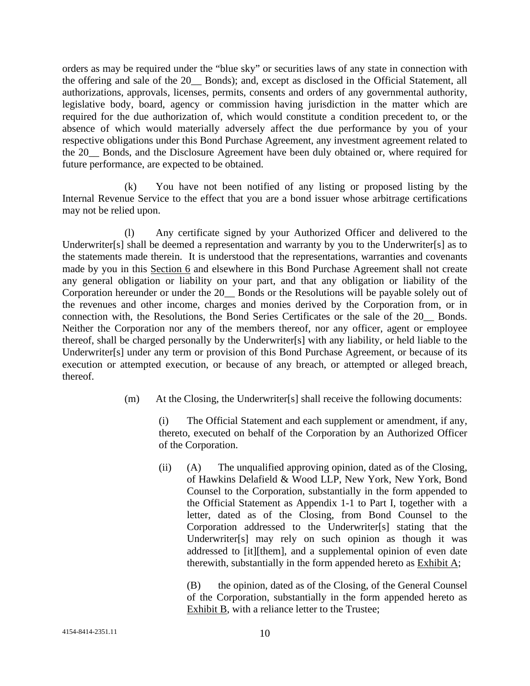orders as may be required under the "blue sky" or securities laws of any state in connection with the offering and sale of the 20\_\_ Bonds); and, except as disclosed in the Official Statement, all authorizations, approvals, licenses, permits, consents and orders of any governmental authority, legislative body, board, agency or commission having jurisdiction in the matter which are required for the due authorization of, which would constitute a condition precedent to, or the absence of which would materially adversely affect the due performance by you of your respective obligations under this Bond Purchase Agreement, any investment agreement related to the 20\_\_ Bonds, and the Disclosure Agreement have been duly obtained or, where required for future performance, are expected to be obtained.

(k) You have not been notified of any listing or proposed listing by the Internal Revenue Service to the effect that you are a bond issuer whose arbitrage certifications may not be relied upon.

(l) Any certificate signed by your Authorized Officer and delivered to the Underwriter[s] shall be deemed a representation and warranty by you to the Underwriter[s] as to the statements made therein. It is understood that the representations, warranties and covenants made by you in this Section 6 and elsewhere in this Bond Purchase Agreement shall not create any general obligation or liability on your part, and that any obligation or liability of the Corporation hereunder or under the 20\_\_ Bonds or the Resolutions will be payable solely out of the revenues and other income, charges and monies derived by the Corporation from, or in connection with, the Resolutions, the Bond Series Certificates or the sale of the 20\_\_ Bonds. Neither the Corporation nor any of the members thereof, nor any officer, agent or employee thereof, shall be charged personally by the Underwriter[s] with any liability, or held liable to the Underwriter[s] under any term or provision of this Bond Purchase Agreement, or because of its execution or attempted execution, or because of any breach, or attempted or alleged breach, thereof.

(m) At the Closing, the Underwriter[s] shall receive the following documents:

(i) The Official Statement and each supplement or amendment, if any, thereto, executed on behalf of the Corporation by an Authorized Officer of the Corporation.

(ii) (A) The unqualified approving opinion, dated as of the Closing, of Hawkins Delafield & Wood LLP, New York, New York, Bond Counsel to the Corporation, substantially in the form appended to the Official Statement as Appendix 1-1 to Part I, together with a letter, dated as of the Closing, from Bond Counsel to the Corporation addressed to the Underwriter[s] stating that the Underwriter[s] may rely on such opinion as though it was addressed to [it][them], and a supplemental opinion of even date therewith, substantially in the form appended hereto as Exhibit A;

(B) the opinion, dated as of the Closing, of the General Counsel of the Corporation, substantially in the form appended hereto as Exhibit B, with a reliance letter to the Trustee;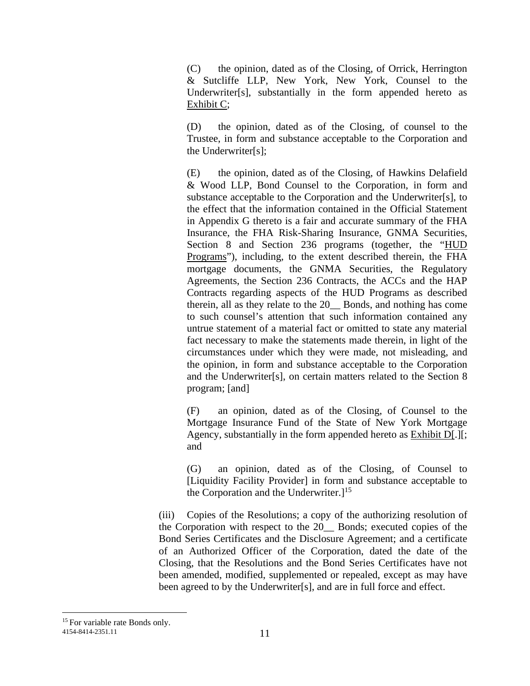(C) the opinion, dated as of the Closing, of Orrick, Herrington & Sutcliffe LLP, New York, New York, Counsel to the Underwriter[s], substantially in the form appended hereto as Exhibit C;

(D) the opinion, dated as of the Closing, of counsel to the Trustee, in form and substance acceptable to the Corporation and the Underwriter[s];

(E) the opinion, dated as of the Closing, of Hawkins Delafield & Wood LLP, Bond Counsel to the Corporation, in form and substance acceptable to the Corporation and the Underwriter[s], to the effect that the information contained in the Official Statement in Appendix G thereto is a fair and accurate summary of the FHA Insurance, the FHA Risk-Sharing Insurance, GNMA Securities, Section 8 and Section 236 programs (together, the "HUD Programs"), including, to the extent described therein, the FHA mortgage documents, the GNMA Securities, the Regulatory Agreements, the Section 236 Contracts, the ACCs and the HAP Contracts regarding aspects of the HUD Programs as described therein, all as they relate to the 20\_\_ Bonds, and nothing has come to such counsel's attention that such information contained any untrue statement of a material fact or omitted to state any material fact necessary to make the statements made therein, in light of the circumstances under which they were made, not misleading, and the opinion, in form and substance acceptable to the Corporation and the Underwriter[s], on certain matters related to the Section 8 program; [and]

(F) an opinion, dated as of the Closing, of Counsel to the Mortgage Insurance Fund of the State of New York Mortgage Agency, substantially in the form appended hereto as Exhibit D[.][; and

(G) an opinion, dated as of the Closing, of Counsel to [Liquidity Facility Provider] in form and substance acceptable to the Corporation and the Underwriter. $]^{15}$ 

(iii) Copies of the Resolutions; a copy of the authorizing resolution of the Corporation with respect to the 20\_\_ Bonds; executed copies of the Bond Series Certificates and the Disclosure Agreement; and a certificate of an Authorized Officer of the Corporation, dated the date of the Closing, that the Resolutions and the Bond Series Certificates have not been amended, modified, supplemented or repealed, except as may have been agreed to by the Underwriter[s], and are in full force and effect.

<sup>11</sup> 4154-8414-2351.11 <sup>15</sup> For variable rate Bonds only.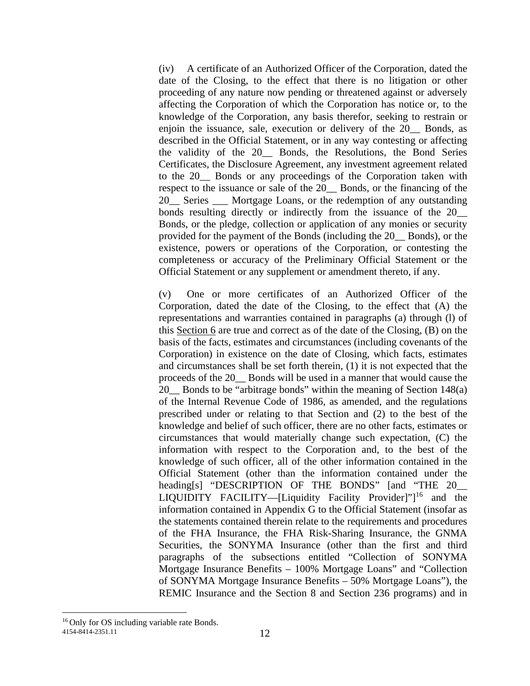(iv) A certificate of an Authorized Officer of the Corporation, dated the date of the Closing, to the effect that there is no litigation or other proceeding of any nature now pending or threatened against or adversely affecting the Corporation of which the Corporation has notice or, to the knowledge of the Corporation, any basis therefor, seeking to restrain or enjoin the issuance, sale, execution or delivery of the 20\_\_ Bonds, as described in the Official Statement, or in any way contesting or affecting the validity of the 20\_\_ Bonds, the Resolutions, the Bond Series Certificates, the Disclosure Agreement, any investment agreement related to the 20\_\_ Bonds or any proceedings of the Corporation taken with respect to the issuance or sale of the 20\_\_ Bonds, or the financing of the 20\_\_ Series \_\_\_ Mortgage Loans, or the redemption of any outstanding bonds resulting directly or indirectly from the issuance of the  $20$ Bonds, or the pledge, collection or application of any monies or security provided for the payment of the Bonds (including the 20\_\_ Bonds), or the existence, powers or operations of the Corporation, or contesting the completeness or accuracy of the Preliminary Official Statement or the Official Statement or any supplement or amendment thereto, if any.

(v) One or more certificates of an Authorized Officer of the Corporation, dated the date of the Closing, to the effect that (A) the representations and warranties contained in paragraphs (a) through (l) of this Section 6 are true and correct as of the date of the Closing, (B) on the basis of the facts, estimates and circumstances (including covenants of the Corporation) in existence on the date of Closing, which facts, estimates and circumstances shall be set forth therein, (1) it is not expected that the proceeds of the 20\_\_ Bonds will be used in a manner that would cause the 20\_\_ Bonds to be "arbitrage bonds" within the meaning of Section 148(a) of the Internal Revenue Code of 1986, as amended, and the regulations prescribed under or relating to that Section and (2) to the best of the knowledge and belief of such officer, there are no other facts, estimates or circumstances that would materially change such expectation, (C) the information with respect to the Corporation and, to the best of the knowledge of such officer, all of the other information contained in the Official Statement (other than the information contained under the heading[s] "DESCRIPTION OF THE BONDS" [and "THE 20\_\_ LIQUIDITY FACILITY—[Liquidity Facility Provider]" $]^{16}$  and the information contained in Appendix G to the Official Statement (insofar as the statements contained therein relate to the requirements and procedures of the FHA Insurance, the FHA Risk-Sharing Insurance, the GNMA Securities, the SONYMA Insurance (other than the first and third paragraphs of the subsections entitled "Collection of SONYMA Mortgage Insurance Benefits – 100% Mortgage Loans" and "Collection of SONYMA Mortgage Insurance Benefits – 50% Mortgage Loans"), the REMIC Insurance and the Section 8 and Section 236 programs) and in

<sup>12</sup> 4154-8414-2351.11 16 Only for OS including variable rate Bonds.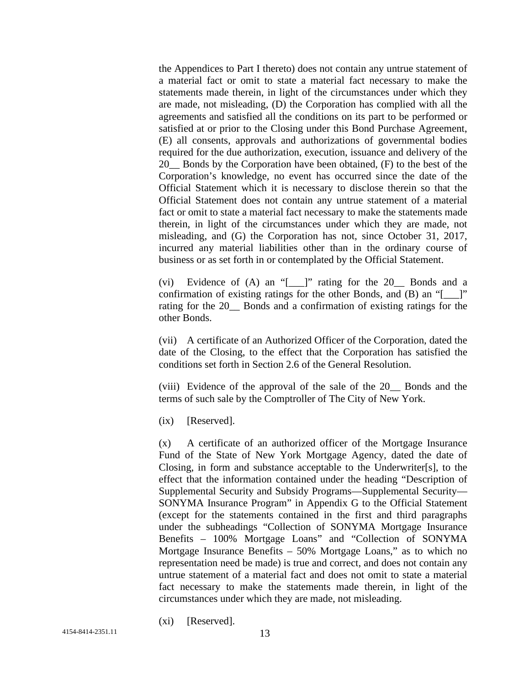the Appendices to Part I thereto) does not contain any untrue statement of a material fact or omit to state a material fact necessary to make the statements made therein, in light of the circumstances under which they are made, not misleading, (D) the Corporation has complied with all the agreements and satisfied all the conditions on its part to be performed or satisfied at or prior to the Closing under this Bond Purchase Agreement, (E) all consents, approvals and authorizations of governmental bodies required for the due authorization, execution, issuance and delivery of the 20\_\_ Bonds by the Corporation have been obtained, (F) to the best of the Corporation's knowledge, no event has occurred since the date of the Official Statement which it is necessary to disclose therein so that the Official Statement does not contain any untrue statement of a material fact or omit to state a material fact necessary to make the statements made therein, in light of the circumstances under which they are made, not misleading, and (G) the Corporation has not, since October 31, 2017, incurred any material liabilities other than in the ordinary course of business or as set forth in or contemplated by the Official Statement.

(vi) Evidence of (A) an "[\_\_\_]" rating for the 20\_\_ Bonds and a confirmation of existing ratings for the other Bonds, and (B) an "[\_\_\_]" rating for the 20 Bonds and a confirmation of existing ratings for the other Bonds.

(vii) A certificate of an Authorized Officer of the Corporation, dated the date of the Closing, to the effect that the Corporation has satisfied the conditions set forth in Section 2.6 of the General Resolution.

(viii) Evidence of the approval of the sale of the 20\_\_ Bonds and the terms of such sale by the Comptroller of The City of New York.

(ix) [Reserved].

(x) A certificate of an authorized officer of the Mortgage Insurance Fund of the State of New York Mortgage Agency, dated the date of Closing, in form and substance acceptable to the Underwriter[s], to the effect that the information contained under the heading "Description of Supplemental Security and Subsidy Programs—Supplemental Security— SONYMA Insurance Program" in Appendix G to the Official Statement (except for the statements contained in the first and third paragraphs under the subheadings "Collection of SONYMA Mortgage Insurance Benefits – 100% Mortgage Loans" and "Collection of SONYMA Mortgage Insurance Benefits – 50% Mortgage Loans," as to which no representation need be made) is true and correct, and does not contain any untrue statement of a material fact and does not omit to state a material fact necessary to make the statements made therein, in light of the circumstances under which they are made, not misleading.

(xi) [Reserved].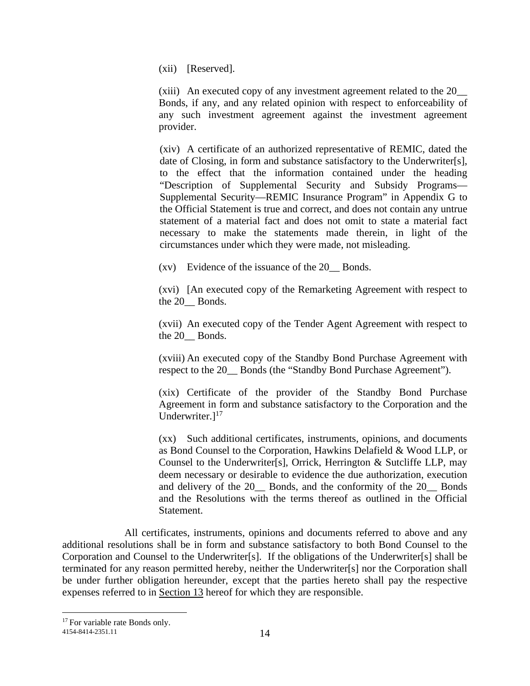(xii) [Reserved].

(xiii) An executed copy of any investment agreement related to the 20\_\_ Bonds, if any, and any related opinion with respect to enforceability of any such investment agreement against the investment agreement provider.

(xiv) A certificate of an authorized representative of REMIC, dated the date of Closing, in form and substance satisfactory to the Underwriter[s], to the effect that the information contained under the heading "Description of Supplemental Security and Subsidy Programs— Supplemental Security—REMIC Insurance Program" in Appendix G to the Official Statement is true and correct, and does not contain any untrue statement of a material fact and does not omit to state a material fact necessary to make the statements made therein, in light of the circumstances under which they were made, not misleading.

(xv) Evidence of the issuance of the 20\_\_ Bonds.

(xvi) [An executed copy of the Remarketing Agreement with respect to the 20 Bonds.

(xvii) An executed copy of the Tender Agent Agreement with respect to the 20 Bonds.

(xviii) An executed copy of the Standby Bond Purchase Agreement with respect to the 20\_\_ Bonds (the "Standby Bond Purchase Agreement").

(xix) Certificate of the provider of the Standby Bond Purchase Agreement in form and substance satisfactory to the Corporation and the Underwriter. $]^{17}$ 

(xx) Such additional certificates, instruments, opinions, and documents as Bond Counsel to the Corporation, Hawkins Delafield & Wood LLP, or Counsel to the Underwriter[s], Orrick, Herrington & Sutcliffe LLP, may deem necessary or desirable to evidence the due authorization, execution and delivery of the 20 Bonds, and the conformity of the 20 Bonds and the Resolutions with the terms thereof as outlined in the Official Statement.

All certificates, instruments, opinions and documents referred to above and any additional resolutions shall be in form and substance satisfactory to both Bond Counsel to the Corporation and Counsel to the Underwriter[s]. If the obligations of the Underwriter[s] shall be terminated for any reason permitted hereby, neither the Underwriter[s] nor the Corporation shall be under further obligation hereunder, except that the parties hereto shall pay the respective expenses referred to in Section 13 hereof for which they are responsible.

<sup>&</sup>lt;sup>17</sup> For variable rate Bonds only.

<sup>14</sup> 4154-8414-2351.11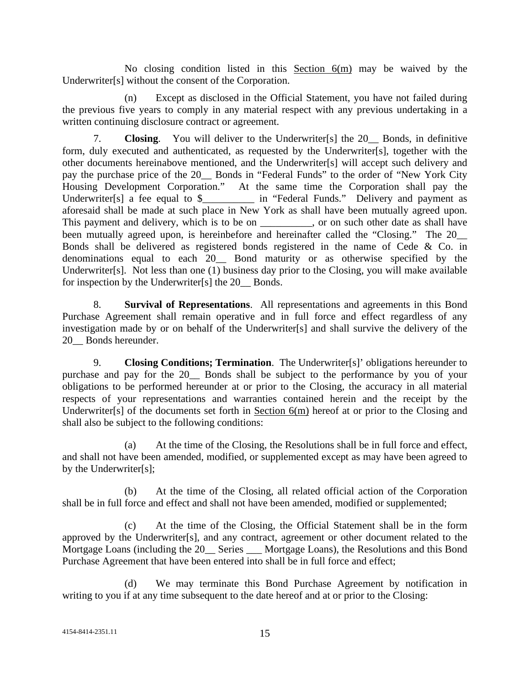No closing condition listed in this Section  $6(m)$  may be waived by the Underwriter[s] without the consent of the Corporation.

(n) Except as disclosed in the Official Statement, you have not failed during the previous five years to comply in any material respect with any previous undertaking in a written continuing disclosure contract or agreement.

7. **Closing**. You will deliver to the Underwriter[s] the 20\_\_ Bonds, in definitive form, duly executed and authenticated, as requested by the Underwriter[s], together with the other documents hereinabove mentioned, and the Underwriter[s] will accept such delivery and pay the purchase price of the 20\_\_ Bonds in "Federal Funds" to the order of "New York City Housing Development Corporation." At the same time the Corporation shall pay the Underwriter<sup>[s]</sup> a fee equal to \$\_\_\_\_\_\_\_\_\_ in "Federal Funds." Delivery and payment as aforesaid shall be made at such place in New York as shall have been mutually agreed upon. This payment and delivery, which is to be on \_\_\_\_\_\_\_\_, or on such other date as shall have been mutually agreed upon, is hereinbefore and hereinafter called the "Closing." The 20 Bonds shall be delivered as registered bonds registered in the name of Cede & Co. in denominations equal to each 20\_\_ Bond maturity or as otherwise specified by the Underwriter[s]. Not less than one (1) business day prior to the Closing, you will make available for inspection by the Underwriter[s] the 20\_\_ Bonds.

8. **Survival of Representations**. All representations and agreements in this Bond Purchase Agreement shall remain operative and in full force and effect regardless of any investigation made by or on behalf of the Underwriter[s] and shall survive the delivery of the 20 Bonds hereunder.

9. **Closing Conditions; Termination**. The Underwriter[s]' obligations hereunder to purchase and pay for the 20\_\_ Bonds shall be subject to the performance by you of your obligations to be performed hereunder at or prior to the Closing, the accuracy in all material respects of your representations and warranties contained herein and the receipt by the Underwriter[s] of the documents set forth in Section 6(m) hereof at or prior to the Closing and shall also be subject to the following conditions:

(a) At the time of the Closing, the Resolutions shall be in full force and effect, and shall not have been amended, modified, or supplemented except as may have been agreed to by the Underwriter[s];

(b) At the time of the Closing, all related official action of the Corporation shall be in full force and effect and shall not have been amended, modified or supplemented;

(c) At the time of the Closing, the Official Statement shall be in the form approved by the Underwriter[s], and any contract, agreement or other document related to the Mortgage Loans (including the 20 Series Mortgage Loans), the Resolutions and this Bond Purchase Agreement that have been entered into shall be in full force and effect;

(d) We may terminate this Bond Purchase Agreement by notification in writing to you if at any time subsequent to the date hereof and at or prior to the Closing: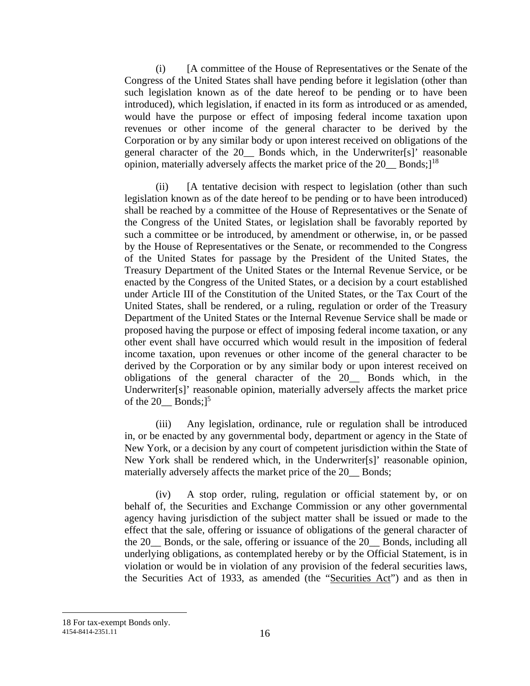(i) [A committee of the House of Representatives or the Senate of the Congress of the United States shall have pending before it legislation (other than such legislation known as of the date hereof to be pending or to have been introduced), which legislation, if enacted in its form as introduced or as amended, would have the purpose or effect of imposing federal income taxation upon revenues or other income of the general character to be derived by the Corporation or by any similar body or upon interest received on obligations of the general character of the 20\_\_ Bonds which, in the Underwriter[s]' reasonable opinion, materially adversely affects the market price of the 20\_\_ Bonds;<sup>18</sup>

(ii) [A tentative decision with respect to legislation (other than such legislation known as of the date hereof to be pending or to have been introduced) shall be reached by a committee of the House of Representatives or the Senate of the Congress of the United States, or legislation shall be favorably reported by such a committee or be introduced, by amendment or otherwise, in, or be passed by the House of Representatives or the Senate, or recommended to the Congress of the United States for passage by the President of the United States, the Treasury Department of the United States or the Internal Revenue Service, or be enacted by the Congress of the United States, or a decision by a court established under Article III of the Constitution of the United States, or the Tax Court of the United States, shall be rendered, or a ruling, regulation or order of the Treasury Department of the United States or the Internal Revenue Service shall be made or proposed having the purpose or effect of imposing federal income taxation, or any other event shall have occurred which would result in the imposition of federal income taxation, upon revenues or other income of the general character to be derived by the Corporation or by any similar body or upon interest received on obligations of the general character of the 20\_\_ Bonds which, in the Underwriter[s]' reasonable opinion, materially adversely affects the market price of the  $20$  Bonds; $]^{5}$ 

(iii) Any legislation, ordinance, rule or regulation shall be introduced in, or be enacted by any governmental body, department or agency in the State of New York, or a decision by any court of competent jurisdiction within the State of New York shall be rendered which, in the Underwriter[s]' reasonable opinion, materially adversely affects the market price of the 20 Bonds;

(iv) A stop order, ruling, regulation or official statement by, or on behalf of, the Securities and Exchange Commission or any other governmental agency having jurisdiction of the subject matter shall be issued or made to the effect that the sale, offering or issuance of obligations of the general character of the 20\_\_ Bonds, or the sale, offering or issuance of the 20\_\_ Bonds, including all underlying obligations, as contemplated hereby or by the Official Statement, is in violation or would be in violation of any provision of the federal securities laws, the Securities Act of 1933, as amended (the "Securities Act") and as then in

<sup>16</sup> 4154-8414-2351.11 18 For tax-exempt Bonds only.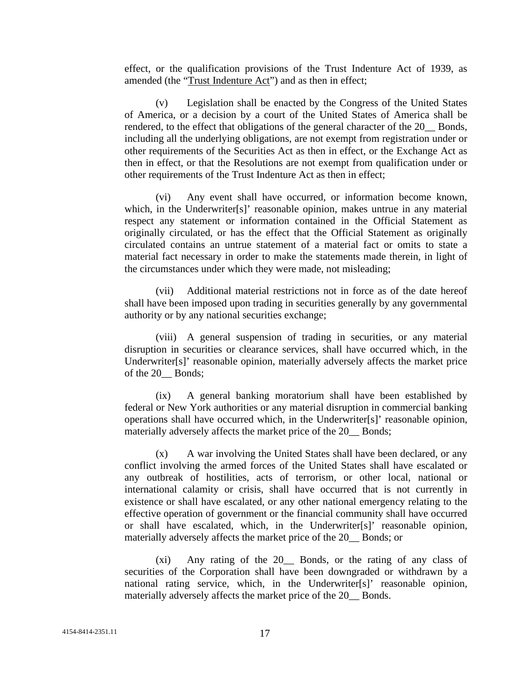effect, or the qualification provisions of the Trust Indenture Act of 1939, as amended (the "Trust Indenture Act") and as then in effect;

(v) Legislation shall be enacted by the Congress of the United States of America, or a decision by a court of the United States of America shall be rendered, to the effect that obligations of the general character of the 20\_\_ Bonds, including all the underlying obligations, are not exempt from registration under or other requirements of the Securities Act as then in effect, or the Exchange Act as then in effect, or that the Resolutions are not exempt from qualification under or other requirements of the Trust Indenture Act as then in effect;

(vi) Any event shall have occurred, or information become known, which, in the Underwriter[s]' reasonable opinion, makes untrue in any material respect any statement or information contained in the Official Statement as originally circulated, or has the effect that the Official Statement as originally circulated contains an untrue statement of a material fact or omits to state a material fact necessary in order to make the statements made therein, in light of the circumstances under which they were made, not misleading;

(vii) Additional material restrictions not in force as of the date hereof shall have been imposed upon trading in securities generally by any governmental authority or by any national securities exchange;

(viii) A general suspension of trading in securities, or any material disruption in securities or clearance services, shall have occurred which, in the Underwriter[s]' reasonable opinion, materially adversely affects the market price of the 20\_\_ Bonds;

(ix) A general banking moratorium shall have been established by federal or New York authorities or any material disruption in commercial banking operations shall have occurred which, in the Underwriter[s]' reasonable opinion, materially adversely affects the market price of the 20\_\_ Bonds;

(x) A war involving the United States shall have been declared, or any conflict involving the armed forces of the United States shall have escalated or any outbreak of hostilities, acts of terrorism, or other local, national or international calamity or crisis, shall have occurred that is not currently in existence or shall have escalated, or any other national emergency relating to the effective operation of government or the financial community shall have occurred or shall have escalated, which, in the Underwriter[s]' reasonable opinion, materially adversely affects the market price of the 20\_\_ Bonds; or

(xi) Any rating of the 20\_\_ Bonds, or the rating of any class of securities of the Corporation shall have been downgraded or withdrawn by a national rating service, which, in the Underwriter[s]' reasonable opinion, materially adversely affects the market price of the 20\_\_ Bonds.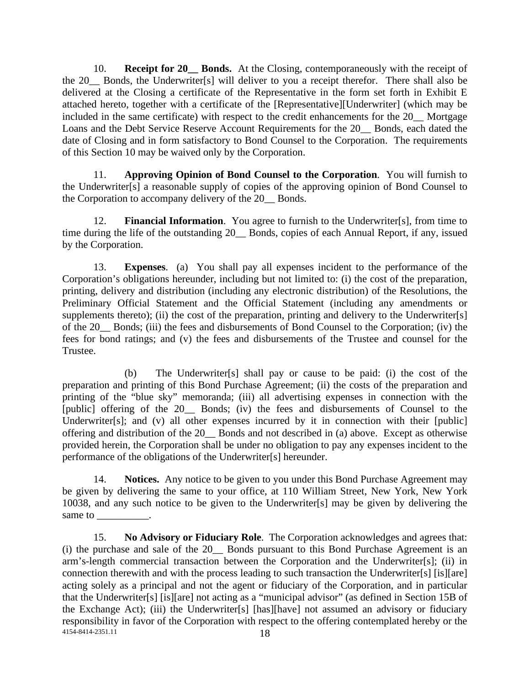10. **Receipt for 20\_\_ Bonds.** At the Closing, contemporaneously with the receipt of the 20\_\_ Bonds, the Underwriter[s] will deliver to you a receipt therefor. There shall also be delivered at the Closing a certificate of the Representative in the form set forth in Exhibit E attached hereto, together with a certificate of the [Representative][Underwriter] (which may be included in the same certificate) with respect to the credit enhancements for the 20 Mortgage Loans and the Debt Service Reserve Account Requirements for the 20\_\_ Bonds, each dated the date of Closing and in form satisfactory to Bond Counsel to the Corporation. The requirements of this Section 10 may be waived only by the Corporation.

11. **Approving Opinion of Bond Counsel to the Corporation**. You will furnish to the Underwriter[s] a reasonable supply of copies of the approving opinion of Bond Counsel to the Corporation to accompany delivery of the 20 Bonds.

12. **Financial Information**. You agree to furnish to the Underwriter[s], from time to time during the life of the outstanding 20\_\_ Bonds, copies of each Annual Report, if any, issued by the Corporation.

13. **Expenses**. (a) You shall pay all expenses incident to the performance of the Corporation's obligations hereunder, including but not limited to: (i) the cost of the preparation, printing, delivery and distribution (including any electronic distribution) of the Resolutions, the Preliminary Official Statement and the Official Statement (including any amendments or supplements thereto); (ii) the cost of the preparation, printing and delivery to the Underwriter[s] of the 20\_\_ Bonds; (iii) the fees and disbursements of Bond Counsel to the Corporation; (iv) the fees for bond ratings; and (v) the fees and disbursements of the Trustee and counsel for the Trustee.

(b) The Underwriter[s] shall pay or cause to be paid: (i) the cost of the preparation and printing of this Bond Purchase Agreement; (ii) the costs of the preparation and printing of the "blue sky" memoranda; (iii) all advertising expenses in connection with the [public] offering of the 20\_\_ Bonds; (iv) the fees and disbursements of Counsel to the Underwriter[s]; and (v) all other expenses incurred by it in connection with their [public] offering and distribution of the 20\_\_ Bonds and not described in (a) above. Except as otherwise provided herein, the Corporation shall be under no obligation to pay any expenses incident to the performance of the obligations of the Underwriter[s] hereunder.

14. **Notices.** Any notice to be given to you under this Bond Purchase Agreement may be given by delivering the same to your office, at 110 William Street, New York, New York 10038, and any such notice to be given to the Underwriter[s] may be given by delivering the same to

18 4154-8414-2351.11 15. **No Advisory or Fiduciary Role**. The Corporation acknowledges and agrees that: (i) the purchase and sale of the 20\_\_ Bonds pursuant to this Bond Purchase Agreement is an arm's-length commercial transaction between the Corporation and the Underwriter[s]; (ii) in connection therewith and with the process leading to such transaction the Underwriter[s] [is][are] acting solely as a principal and not the agent or fiduciary of the Corporation, and in particular that the Underwriter[s] [is][are] not acting as a "municipal advisor" (as defined in Section 15B of the Exchange Act); (iii) the Underwriter[s] [has][have] not assumed an advisory or fiduciary responsibility in favor of the Corporation with respect to the offering contemplated hereby or the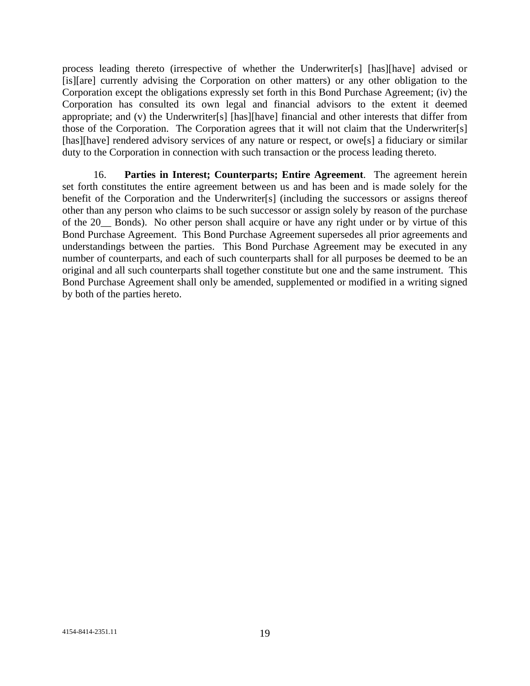process leading thereto (irrespective of whether the Underwriter[s] [has][have] advised or [is][are] currently advising the Corporation on other matters) or any other obligation to the Corporation except the obligations expressly set forth in this Bond Purchase Agreement; (iv) the Corporation has consulted its own legal and financial advisors to the extent it deemed appropriate; and (v) the Underwriter[s] [has][have] financial and other interests that differ from those of the Corporation. The Corporation agrees that it will not claim that the Underwriter[s] [has][have] rendered advisory services of any nature or respect, or owe[s] a fiduciary or similar duty to the Corporation in connection with such transaction or the process leading thereto.

16. **Parties in Interest; Counterparts; Entire Agreement**. The agreement herein set forth constitutes the entire agreement between us and has been and is made solely for the benefit of the Corporation and the Underwriter[s] (including the successors or assigns thereof other than any person who claims to be such successor or assign solely by reason of the purchase of the 20\_\_ Bonds). No other person shall acquire or have any right under or by virtue of this Bond Purchase Agreement. This Bond Purchase Agreement supersedes all prior agreements and understandings between the parties. This Bond Purchase Agreement may be executed in any number of counterparts, and each of such counterparts shall for all purposes be deemed to be an original and all such counterparts shall together constitute but one and the same instrument. This Bond Purchase Agreement shall only be amended, supplemented or modified in a writing signed by both of the parties hereto.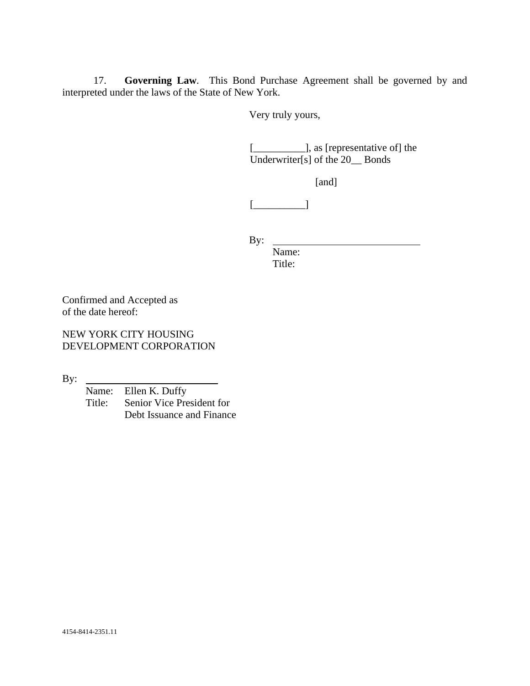17. **Governing Law**. This Bond Purchase Agreement shall be governed by and interpreted under the laws of the State of New York.

Very truly yours,

[\_\_\_\_\_\_\_\_\_\_], as [representative of] the Underwriter[s] of the 20\_\_ Bonds

[and]

[\_\_\_\_\_\_\_\_\_\_]

By:

Name: Title:

Confirmed and Accepted as of the date hereof:

NEW YORK CITY HOUSING DEVELOPMENT CORPORATION

By:

Name: Ellen K. Duffy<br>Title: Senior Vice Pres Senior Vice President for Debt Issuance and Finance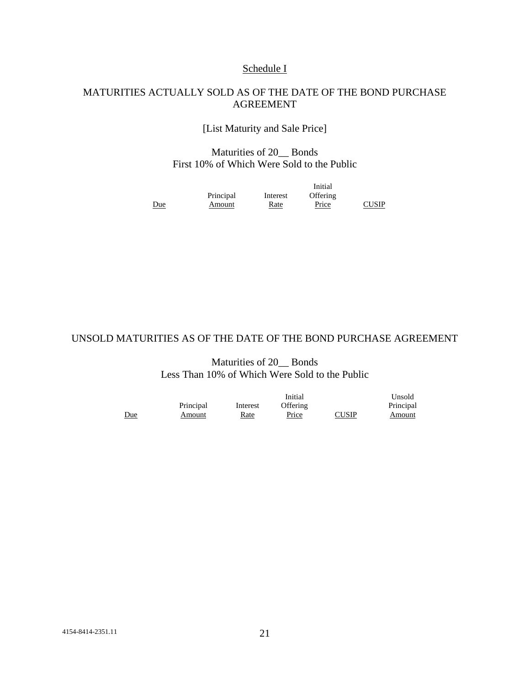## Schedule I

#### MATURITIES ACTUALLY SOLD AS OF THE DATE OF THE BOND PURCHASE AGREEMENT

[List Maturity and Sale Price]

## Maturities of 20\_\_ Bonds First 10% of Which Were Sold to the Public

|            |           |             | Initial      |              |
|------------|-----------|-------------|--------------|--------------|
|            | Principal | Interest    | Offering     |              |
| <u>Due</u> | Amount    | <u>Rate</u> | <b>Price</b> | <b>CUSIP</b> |

#### UNSOLD MATURITIES AS OF THE DATE OF THE BOND PURCHASE AGREEMENT

#### Maturities of 20 Bonds Less Than 10% of Which Were Sold to the Public

|     |           | Initial  |          |              | Unsold    |
|-----|-----------|----------|----------|--------------|-----------|
|     | Principal | Interest | Offering |              | Principal |
| Due | Amount    | Rate     | Price    | <b>CUSIP</b> | Amount    |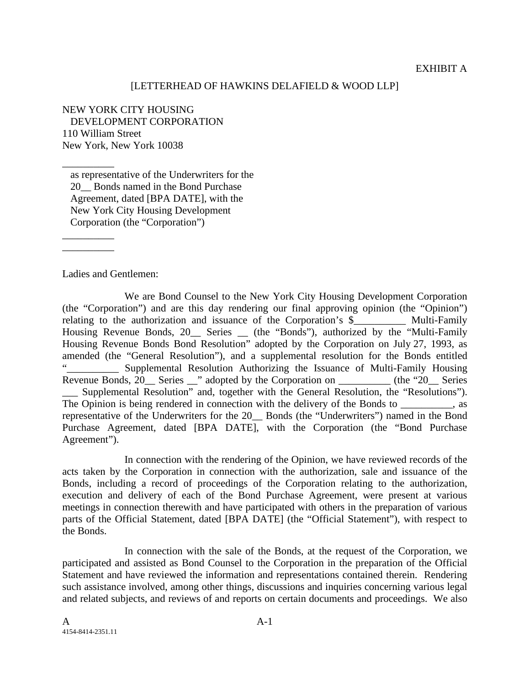#### [LETTERHEAD OF HAWKINS DELAFIELD & WOOD LLP]

NEW YORK CITY HOUSING DEVELOPMENT CORPORATION 110 William Street New York, New York 10038

as representative of the Underwriters for the 20 Bonds named in the Bond Purchase Agreement, dated [BPA DATE], with the New York City Housing Development Corporation (the "Corporation")

Ladies and Gentlemen:

\_\_\_\_\_\_\_\_\_\_

\_\_\_\_\_\_\_\_\_\_ \_\_\_\_\_\_\_\_\_\_

We are Bond Counsel to the New York City Housing Development Corporation (the "Corporation") and are this day rendering our final approving opinion (the "Opinion") relating to the authorization and issuance of the Corporation's \$ \_\_\_\_\_\_ Multi-Family Housing Revenue Bonds, 20\_\_ Series \_ (the "Bonds"), authorized by the "Multi-Family Housing Revenue Bonds Bond Resolution" adopted by the Corporation on July 27, 1993, as amended (the "General Resolution"), and a supplemental resolution for the Bonds entitled . Supplemental Resolution Authorizing the Issuance of Multi-Family Housing Revenue Bonds, 20\_\_ Series \_\_" adopted by the Corporation on \_\_\_\_\_\_\_\_\_\_ (the "20\_\_ Series \_\_\_ Supplemental Resolution" and, together with the General Resolution, the "Resolutions"). The Opinion is being rendered in connection with the delivery of the Bonds to  $\cdot$ , as representative of the Underwriters for the 20\_\_ Bonds (the "Underwriters") named in the Bond Purchase Agreement, dated [BPA DATE], with the Corporation (the "Bond Purchase Agreement").

In connection with the rendering of the Opinion, we have reviewed records of the acts taken by the Corporation in connection with the authorization, sale and issuance of the Bonds, including a record of proceedings of the Corporation relating to the authorization, execution and delivery of each of the Bond Purchase Agreement, were present at various meetings in connection therewith and have participated with others in the preparation of various parts of the Official Statement, dated [BPA DATE] (the "Official Statement"), with respect to the Bonds.

In connection with the sale of the Bonds, at the request of the Corporation, we participated and assisted as Bond Counsel to the Corporation in the preparation of the Official Statement and have reviewed the information and representations contained therein. Rendering such assistance involved, among other things, discussions and inquiries concerning various legal and related subjects, and reviews of and reports on certain documents and proceedings. We also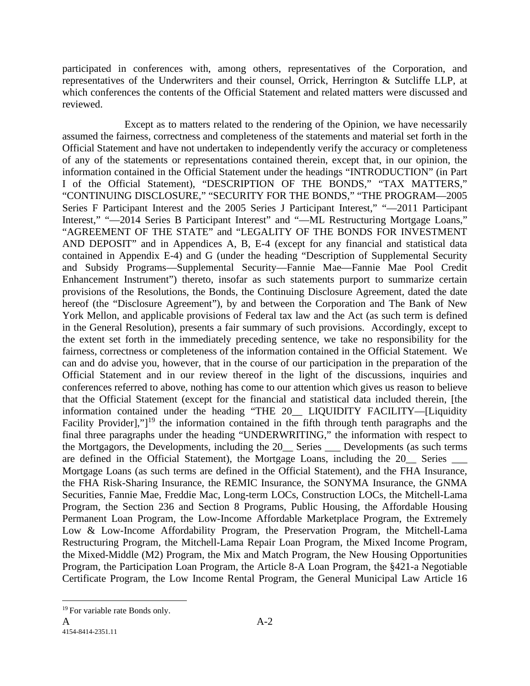participated in conferences with, among others, representatives of the Corporation, and representatives of the Underwriters and their counsel, Orrick, Herrington & Sutcliffe LLP, at which conferences the contents of the Official Statement and related matters were discussed and reviewed.

Except as to matters related to the rendering of the Opinion, we have necessarily assumed the fairness, correctness and completeness of the statements and material set forth in the Official Statement and have not undertaken to independently verify the accuracy or completeness of any of the statements or representations contained therein, except that, in our opinion, the information contained in the Official Statement under the headings "INTRODUCTION" (in Part I of the Official Statement), "DESCRIPTION OF THE BONDS," "TAX MATTERS," "CONTINUING DISCLOSURE," "SECURITY FOR THE BONDS," "THE PROGRAM—2005 Series F Participant Interest and the 2005 Series J Participant Interest," "—2011 Participant Interest," "-2014 Series B Participant Interest" and "-ML Restructuring Mortgage Loans," "AGREEMENT OF THE STATE" and "LEGALITY OF THE BONDS FOR INVESTMENT AND DEPOSIT" and in Appendices A, B, E-4 (except for any financial and statistical data contained in Appendix E-4) and G (under the heading "Description of Supplemental Security and Subsidy Programs—Supplemental Security—Fannie Mae—Fannie Mae Pool Credit Enhancement Instrument") thereto, insofar as such statements purport to summarize certain provisions of the Resolutions, the Bonds, the Continuing Disclosure Agreement, dated the date hereof (the "Disclosure Agreement"), by and between the Corporation and The Bank of New York Mellon, and applicable provisions of Federal tax law and the Act (as such term is defined in the General Resolution), presents a fair summary of such provisions. Accordingly, except to the extent set forth in the immediately preceding sentence, we take no responsibility for the fairness, correctness or completeness of the information contained in the Official Statement. We can and do advise you, however, that in the course of our participation in the preparation of the Official Statement and in our review thereof in the light of the discussions, inquiries and conferences referred to above, nothing has come to our attention which gives us reason to believe that the Official Statement (except for the financial and statistical data included therein, [the information contained under the heading "THE 20\_\_ LIQUIDITY FACILITY—[Liquidity Facility Provider],"<sup>19</sup> the information contained in the fifth through tenth paragraphs and the final three paragraphs under the heading "UNDERWRITING," the information with respect to the Mortgagors, the Developments, including the 20\_\_ Series \_\_\_ Developments (as such terms are defined in the Official Statement), the Mortgage Loans, including the 20 Series Mortgage Loans (as such terms are defined in the Official Statement), and the FHA Insurance, the FHA Risk-Sharing Insurance, the REMIC Insurance, the SONYMA Insurance, the GNMA Securities, Fannie Mae, Freddie Mac, Long-term LOCs, Construction LOCs, the Mitchell-Lama Program, the Section 236 and Section 8 Programs, Public Housing, the Affordable Housing Permanent Loan Program, the Low-Income Affordable Marketplace Program, the Extremely Low & Low-Income Affordability Program, the Preservation Program, the Mitchell-Lama Restructuring Program, the Mitchell-Lama Repair Loan Program, the Mixed Income Program, the Mixed-Middle (M2) Program, the Mix and Match Program, the New Housing Opportunities Program, the Participation Loan Program, the Article 8-A Loan Program, the §421-a Negotiable Certificate Program, the Low Income Rental Program, the General Municipal Law Article 16

<sup>&</sup>lt;sup>19</sup> For variable rate Bonds only.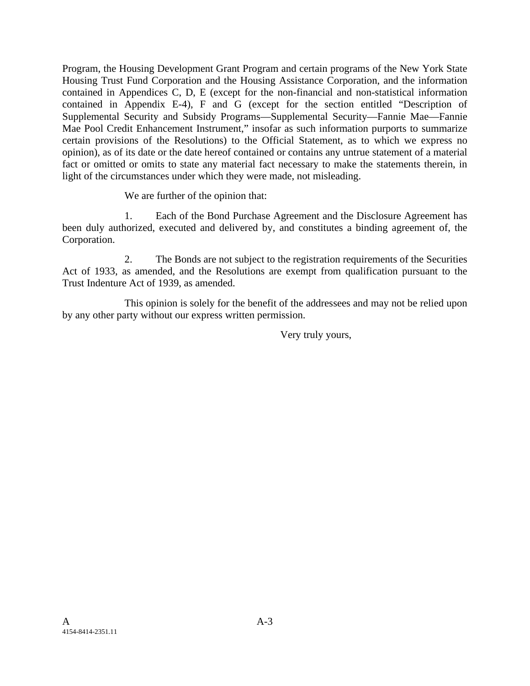Program, the Housing Development Grant Program and certain programs of the New York State Housing Trust Fund Corporation and the Housing Assistance Corporation, and the information contained in Appendices C, D, E (except for the non-financial and non-statistical information contained in Appendix E-4), F and G (except for the section entitled "Description of Supplemental Security and Subsidy Programs—Supplemental Security—Fannie Mae—Fannie Mae Pool Credit Enhancement Instrument," insofar as such information purports to summarize certain provisions of the Resolutions) to the Official Statement, as to which we express no opinion), as of its date or the date hereof contained or contains any untrue statement of a material fact or omitted or omits to state any material fact necessary to make the statements therein, in light of the circumstances under which they were made, not misleading.

We are further of the opinion that:

1. Each of the Bond Purchase Agreement and the Disclosure Agreement has been duly authorized, executed and delivered by, and constitutes a binding agreement of, the Corporation.

2. The Bonds are not subject to the registration requirements of the Securities Act of 1933, as amended, and the Resolutions are exempt from qualification pursuant to the Trust Indenture Act of 1939, as amended.

This opinion is solely for the benefit of the addressees and may not be relied upon by any other party without our express written permission.

Very truly yours,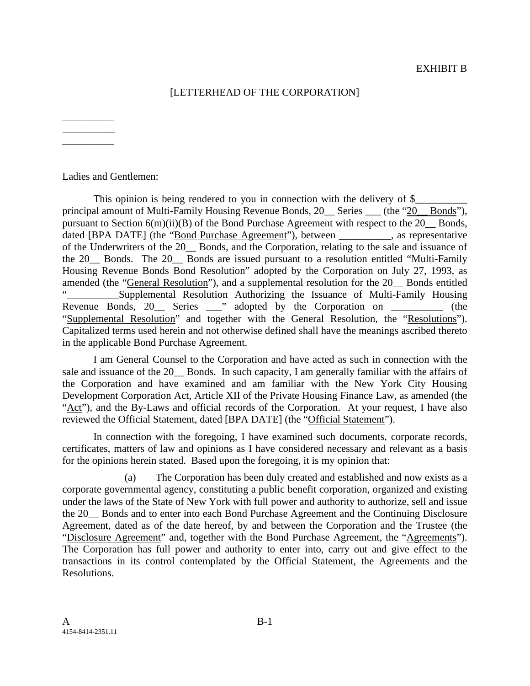## [LETTERHEAD OF THE CORPORATION]

\_\_\_\_\_\_\_\_\_\_ \_\_\_\_\_\_\_\_\_\_  $\overline{\phantom{a}}$ 

Ladies and Gentlemen:

This opinion is being rendered to you in connection with the delivery of  $\S$ principal amount of Multi-Family Housing Revenue Bonds, 20 Series (the "20 Bonds"), pursuant to Section 6(m)(ii)(B) of the Bond Purchase Agreement with respect to the 20\_\_ Bonds, dated [BPA DATE] (the "Bond Purchase Agreement"), between , as representative of the Underwriters of the 20\_\_ Bonds, and the Corporation, relating to the sale and issuance of the 20\_\_ Bonds. The 20\_\_ Bonds are issued pursuant to a resolution entitled "Multi-Family Housing Revenue Bonds Bond Resolution" adopted by the Corporation on July 27, 1993, as amended (the "General Resolution"), and a supplemental resolution for the 20\_\_ Bonds entitled Supplemental Resolution Authorizing the Issuance of Multi-Family Housing Revenue Bonds,  $20\_\_$  Series  $\_\_$ " adopted by the Corporation on  $\_\_$  (the "Supplemental Resolution" and together with the General Resolution, the "Resolutions"). Capitalized terms used herein and not otherwise defined shall have the meanings ascribed thereto in the applicable Bond Purchase Agreement.

I am General Counsel to the Corporation and have acted as such in connection with the sale and issuance of the 20\_\_ Bonds. In such capacity, I am generally familiar with the affairs of the Corporation and have examined and am familiar with the New York City Housing Development Corporation Act, Article XII of the Private Housing Finance Law, as amended (the "Act"), and the By-Laws and official records of the Corporation. At your request, I have also reviewed the Official Statement, dated [BPA DATE] (the "Official Statement").

In connection with the foregoing, I have examined such documents, corporate records, certificates, matters of law and opinions as I have considered necessary and relevant as a basis for the opinions herein stated. Based upon the foregoing, it is my opinion that:

(a) The Corporation has been duly created and established and now exists as a corporate governmental agency, constituting a public benefit corporation, organized and existing under the laws of the State of New York with full power and authority to authorize, sell and issue the 20\_\_ Bonds and to enter into each Bond Purchase Agreement and the Continuing Disclosure Agreement, dated as of the date hereof, by and between the Corporation and the Trustee (the "Disclosure Agreement" and, together with the Bond Purchase Agreement, the "Agreements"). The Corporation has full power and authority to enter into, carry out and give effect to the transactions in its control contemplated by the Official Statement, the Agreements and the Resolutions.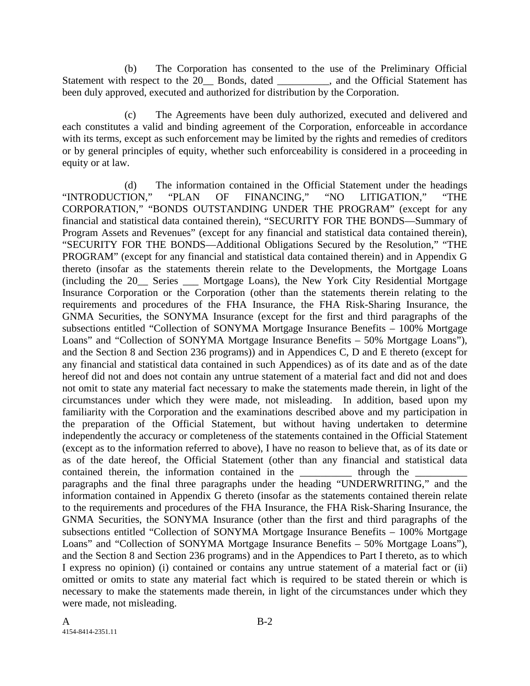(b) The Corporation has consented to the use of the Preliminary Official Statement with respect to the 20 Bonds, dated \_\_\_\_\_\_\_, and the Official Statement has been duly approved, executed and authorized for distribution by the Corporation.

(c) The Agreements have been duly authorized, executed and delivered and each constitutes a valid and binding agreement of the Corporation, enforceable in accordance with its terms, except as such enforcement may be limited by the rights and remedies of creditors or by general principles of equity, whether such enforceability is considered in a proceeding in equity or at law.

(d) The information contained in the Official Statement under the headings "INTRODUCTION," "PLAN OF FINANCING," "NO LITIGATION," "THE CORPORATION," "BONDS OUTSTANDING UNDER THE PROGRAM" (except for any financial and statistical data contained therein), "SECURITY FOR THE BONDS—Summary of Program Assets and Revenues" (except for any financial and statistical data contained therein), "SECURITY FOR THE BONDS—Additional Obligations Secured by the Resolution," "THE PROGRAM" (except for any financial and statistical data contained therein) and in Appendix G thereto (insofar as the statements therein relate to the Developments, the Mortgage Loans (including the 20\_\_ Series \_\_\_ Mortgage Loans), the New York City Residential Mortgage Insurance Corporation or the Corporation (other than the statements therein relating to the requirements and procedures of the FHA Insurance, the FHA Risk-Sharing Insurance, the GNMA Securities, the SONYMA Insurance (except for the first and third paragraphs of the subsections entitled "Collection of SONYMA Mortgage Insurance Benefits – 100% Mortgage Loans" and "Collection of SONYMA Mortgage Insurance Benefits – 50% Mortgage Loans"), and the Section 8 and Section 236 programs)) and in Appendices C, D and E thereto (except for any financial and statistical data contained in such Appendices) as of its date and as of the date hereof did not and does not contain any untrue statement of a material fact and did not and does not omit to state any material fact necessary to make the statements made therein, in light of the circumstances under which they were made, not misleading. In addition, based upon my familiarity with the Corporation and the examinations described above and my participation in the preparation of the Official Statement, but without having undertaken to determine independently the accuracy or completeness of the statements contained in the Official Statement (except as to the information referred to above), I have no reason to believe that, as of its date or as of the date hereof, the Official Statement (other than any financial and statistical data contained therein, the information contained in the \_\_\_\_\_\_\_\_\_\_\_ through the paragraphs and the final three paragraphs under the heading "UNDERWRITING," and the information contained in Appendix G thereto (insofar as the statements contained therein relate to the requirements and procedures of the FHA Insurance, the FHA Risk-Sharing Insurance, the GNMA Securities, the SONYMA Insurance (other than the first and third paragraphs of the subsections entitled "Collection of SONYMA Mortgage Insurance Benefits – 100% Mortgage Loans" and "Collection of SONYMA Mortgage Insurance Benefits – 50% Mortgage Loans"), and the Section 8 and Section 236 programs) and in the Appendices to Part I thereto, as to which I express no opinion) (i) contained or contains any untrue statement of a material fact or (ii) omitted or omits to state any material fact which is required to be stated therein or which is necessary to make the statements made therein, in light of the circumstances under which they were made, not misleading.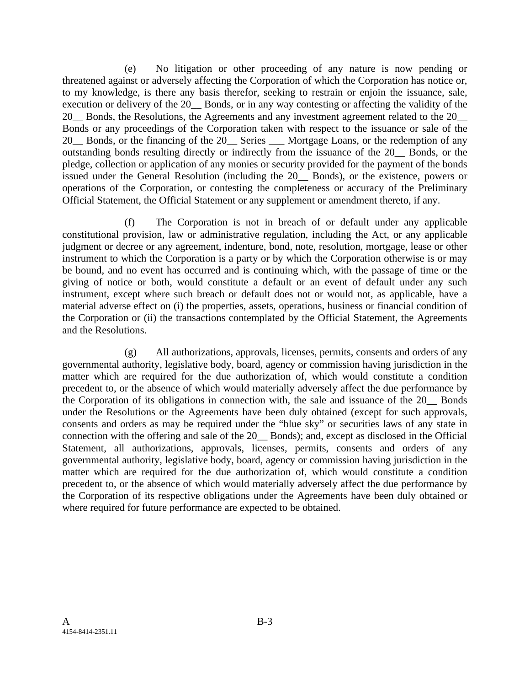(e) No litigation or other proceeding of any nature is now pending or threatened against or adversely affecting the Corporation of which the Corporation has notice or, to my knowledge, is there any basis therefor, seeking to restrain or enjoin the issuance, sale, execution or delivery of the 20\_\_ Bonds, or in any way contesting or affecting the validity of the 20 Bonds, the Resolutions, the Agreements and any investment agreement related to the 20 Bonds or any proceedings of the Corporation taken with respect to the issuance or sale of the 20\_\_ Bonds, or the financing of the 20\_\_ Series \_\_\_ Mortgage Loans, or the redemption of any outstanding bonds resulting directly or indirectly from the issuance of the 20\_\_ Bonds, or the pledge, collection or application of any monies or security provided for the payment of the bonds issued under the General Resolution (including the 20\_\_ Bonds), or the existence, powers or operations of the Corporation, or contesting the completeness or accuracy of the Preliminary Official Statement, the Official Statement or any supplement or amendment thereto, if any.

(f) The Corporation is not in breach of or default under any applicable constitutional provision, law or administrative regulation, including the Act, or any applicable judgment or decree or any agreement, indenture, bond, note, resolution, mortgage, lease or other instrument to which the Corporation is a party or by which the Corporation otherwise is or may be bound, and no event has occurred and is continuing which, with the passage of time or the giving of notice or both, would constitute a default or an event of default under any such instrument, except where such breach or default does not or would not, as applicable, have a material adverse effect on (i) the properties, assets, operations, business or financial condition of the Corporation or (ii) the transactions contemplated by the Official Statement, the Agreements and the Resolutions.

(g) All authorizations, approvals, licenses, permits, consents and orders of any governmental authority, legislative body, board, agency or commission having jurisdiction in the matter which are required for the due authorization of, which would constitute a condition precedent to, or the absence of which would materially adversely affect the due performance by the Corporation of its obligations in connection with, the sale and issuance of the 20\_\_ Bonds under the Resolutions or the Agreements have been duly obtained (except for such approvals, consents and orders as may be required under the "blue sky" or securities laws of any state in connection with the offering and sale of the 20\_\_ Bonds); and, except as disclosed in the Official Statement, all authorizations, approvals, licenses, permits, consents and orders of any governmental authority, legislative body, board, agency or commission having jurisdiction in the matter which are required for the due authorization of, which would constitute a condition precedent to, or the absence of which would materially adversely affect the due performance by the Corporation of its respective obligations under the Agreements have been duly obtained or where required for future performance are expected to be obtained.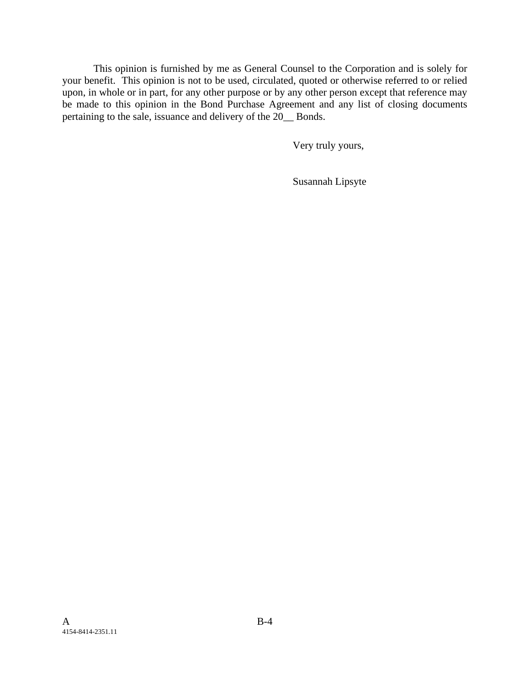This opinion is furnished by me as General Counsel to the Corporation and is solely for your benefit. This opinion is not to be used, circulated, quoted or otherwise referred to or relied upon, in whole or in part, for any other purpose or by any other person except that reference may be made to this opinion in the Bond Purchase Agreement and any list of closing documents pertaining to the sale, issuance and delivery of the 20\_\_ Bonds.

Very truly yours,

Susannah Lipsyte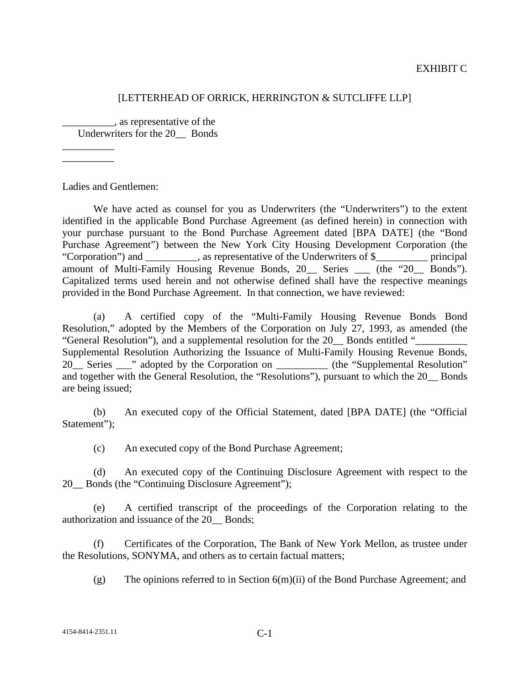#### EXHIBIT C

#### [LETTERHEAD OF ORRICK, HERRINGTON & SUTCLIFFE LLP]

\_\_\_\_\_\_\_\_\_\_, as representative of the Underwriters for the 20\_\_ Bonds

 $\overline{\phantom{a}}$ \_\_\_\_\_\_\_\_\_\_

Ladies and Gentlemen:

We have acted as counsel for you as Underwriters (the "Underwriters") to the extent identified in the applicable Bond Purchase Agreement (as defined herein) in connection with your purchase pursuant to the Bond Purchase Agreement dated [BPA DATE] (the "Bond Purchase Agreement") between the New York City Housing Development Corporation (the "Corporation") and \_\_\_\_\_\_\_\_\_\_, as representative of the Underwriters of \$\_\_\_\_\_\_\_\_\_\_ principal amount of Multi-Family Housing Revenue Bonds, 20 Series (the "20 Bonds"). Capitalized terms used herein and not otherwise defined shall have the respective meanings provided in the Bond Purchase Agreement. In that connection, we have reviewed:

(a) A certified copy of the "Multi-Family Housing Revenue Bonds Bond Resolution," adopted by the Members of the Corporation on July 27, 1993, as amended (the "General Resolution"), and a supplemental resolution for the 20\_\_ Bonds entitled "\_\_\_\_\_\_\_\_\_\_ Supplemental Resolution Authorizing the Issuance of Multi-Family Housing Revenue Bonds, 20<sup>1</sup> Series <sup>20</sup> adopted by the Corporation on 2012 (the "Supplemental Resolution" and together with the General Resolution, the "Resolutions"), pursuant to which the 20\_\_ Bonds are being issued;

(b) An executed copy of the Official Statement, dated [BPA DATE] (the "Official Statement");

(c) An executed copy of the Bond Purchase Agreement;

(d) An executed copy of the Continuing Disclosure Agreement with respect to the 20 Bonds (the "Continuing Disclosure Agreement");

(e) A certified transcript of the proceedings of the Corporation relating to the authorization and issuance of the 20\_\_ Bonds;

(f) Certificates of the Corporation, The Bank of New York Mellon, as trustee under the Resolutions, SONYMA, and others as to certain factual matters;

(g) The opinions referred to in Section 6(m)(ii) of the Bond Purchase Agreement; and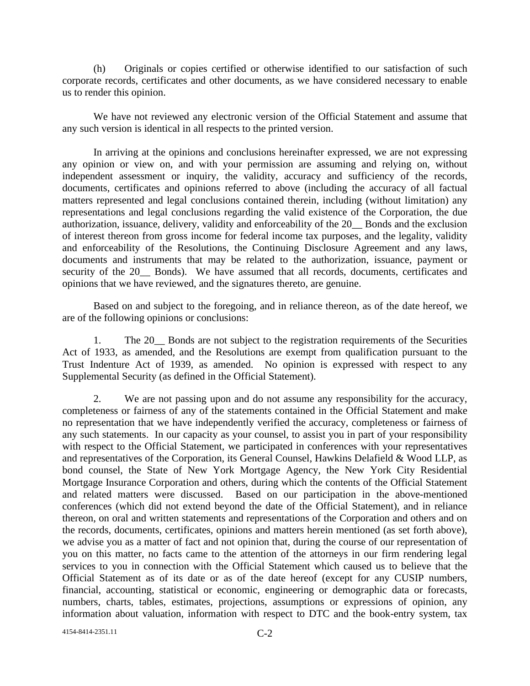(h) Originals or copies certified or otherwise identified to our satisfaction of such corporate records, certificates and other documents, as we have considered necessary to enable us to render this opinion.

We have not reviewed any electronic version of the Official Statement and assume that any such version is identical in all respects to the printed version.

In arriving at the opinions and conclusions hereinafter expressed, we are not expressing any opinion or view on, and with your permission are assuming and relying on, without independent assessment or inquiry, the validity, accuracy and sufficiency of the records, documents, certificates and opinions referred to above (including the accuracy of all factual matters represented and legal conclusions contained therein, including (without limitation) any representations and legal conclusions regarding the valid existence of the Corporation, the due authorization, issuance, delivery, validity and enforceability of the 20\_\_ Bonds and the exclusion of interest thereon from gross income for federal income tax purposes, and the legality, validity and enforceability of the Resolutions, the Continuing Disclosure Agreement and any laws, documents and instruments that may be related to the authorization, issuance, payment or security of the 20\_\_ Bonds). We have assumed that all records, documents, certificates and opinions that we have reviewed, and the signatures thereto, are genuine.

Based on and subject to the foregoing, and in reliance thereon, as of the date hereof, we are of the following opinions or conclusions:

1. The 20\_\_ Bonds are not subject to the registration requirements of the Securities Act of 1933, as amended, and the Resolutions are exempt from qualification pursuant to the Trust Indenture Act of 1939, as amended. No opinion is expressed with respect to any Supplemental Security (as defined in the Official Statement).

2. We are not passing upon and do not assume any responsibility for the accuracy, completeness or fairness of any of the statements contained in the Official Statement and make no representation that we have independently verified the accuracy, completeness or fairness of any such statements. In our capacity as your counsel, to assist you in part of your responsibility with respect to the Official Statement, we participated in conferences with your representatives and representatives of the Corporation, its General Counsel, Hawkins Delafield & Wood LLP, as bond counsel, the State of New York Mortgage Agency, the New York City Residential Mortgage Insurance Corporation and others, during which the contents of the Official Statement and related matters were discussed. Based on our participation in the above-mentioned conferences (which did not extend beyond the date of the Official Statement), and in reliance thereon, on oral and written statements and representations of the Corporation and others and on the records, documents, certificates, opinions and matters herein mentioned (as set forth above), we advise you as a matter of fact and not opinion that, during the course of our representation of you on this matter, no facts came to the attention of the attorneys in our firm rendering legal services to you in connection with the Official Statement which caused us to believe that the Official Statement as of its date or as of the date hereof (except for any CUSIP numbers, financial, accounting, statistical or economic, engineering or demographic data or forecasts, numbers, charts, tables, estimates, projections, assumptions or expressions of opinion, any information about valuation, information with respect to DTC and the book-entry system, tax

4154-8414-2351.11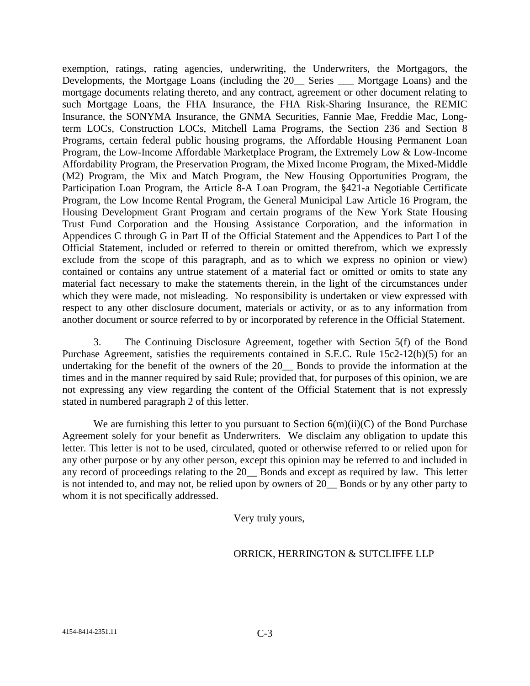exemption, ratings, rating agencies, underwriting, the Underwriters, the Mortgagors, the Developments, the Mortgage Loans (including the 20\_\_ Series \_\_\_ Mortgage Loans) and the mortgage documents relating thereto, and any contract, agreement or other document relating to such Mortgage Loans, the FHA Insurance, the FHA Risk-Sharing Insurance, the REMIC Insurance, the SONYMA Insurance, the GNMA Securities, Fannie Mae, Freddie Mac, Longterm LOCs, Construction LOCs, Mitchell Lama Programs, the Section 236 and Section 8 Programs, certain federal public housing programs, the Affordable Housing Permanent Loan Program, the Low-Income Affordable Marketplace Program, the Extremely Low & Low-Income Affordability Program, the Preservation Program, the Mixed Income Program, the Mixed-Middle (M2) Program, the Mix and Match Program, the New Housing Opportunities Program, the Participation Loan Program, the Article 8-A Loan Program, the §421-a Negotiable Certificate Program, the Low Income Rental Program, the General Municipal Law Article 16 Program, the Housing Development Grant Program and certain programs of the New York State Housing Trust Fund Corporation and the Housing Assistance Corporation, and the information in Appendices C through G in Part II of the Official Statement and the Appendices to Part I of the Official Statement, included or referred to therein or omitted therefrom, which we expressly exclude from the scope of this paragraph, and as to which we express no opinion or view) contained or contains any untrue statement of a material fact or omitted or omits to state any material fact necessary to make the statements therein, in the light of the circumstances under which they were made, not misleading. No responsibility is undertaken or view expressed with respect to any other disclosure document, materials or activity, or as to any information from another document or source referred to by or incorporated by reference in the Official Statement.

3. The Continuing Disclosure Agreement, together with Section 5(f) of the Bond Purchase Agreement, satisfies the requirements contained in S.E.C. Rule 15c2-12(b)(5) for an undertaking for the benefit of the owners of the 20\_\_ Bonds to provide the information at the times and in the manner required by said Rule; provided that, for purposes of this opinion, we are not expressing any view regarding the content of the Official Statement that is not expressly stated in numbered paragraph 2 of this letter.

We are furnishing this letter to you pursuant to Section  $6(m)(ii)(C)$  of the Bond Purchase Agreement solely for your benefit as Underwriters. We disclaim any obligation to update this letter. This letter is not to be used, circulated, quoted or otherwise referred to or relied upon for any other purpose or by any other person, except this opinion may be referred to and included in any record of proceedings relating to the 20\_\_ Bonds and except as required by law. This letter is not intended to, and may not, be relied upon by owners of 20 Bonds or by any other party to whom it is not specifically addressed.

Very truly yours,

#### ORRICK, HERRINGTON & SUTCLIFFE LLP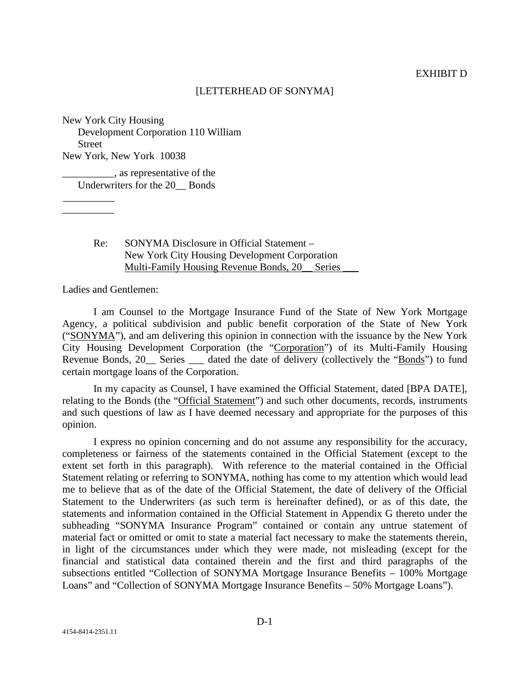#### [LETTERHEAD OF SONYMA]

New York City Housing Development Corporation 110 William **Street** New York, New York 10038

 $\_\_\_\$ g as representative of the Underwriters for the 20\_\_ Bonds

> Re: SONYMA Disclosure in Official Statement – New York City Housing Development Corporation Multi-Family Housing Revenue Bonds, 20\_\_ Series \_\_\_

Ladies and Gentlemen:

\_\_\_\_\_\_\_\_\_\_ \_\_\_\_\_\_\_\_\_\_

I am Counsel to the Mortgage Insurance Fund of the State of New York Mortgage Agency, a political subdivision and public benefit corporation of the State of New York ("SONYMA"), and am delivering this opinion in connection with the issuance by the New York City Housing Development Corporation (the "Corporation") of its Multi-Family Housing Revenue Bonds, 20\_\_ Series \_\_\_ dated the date of delivery (collectively the "Bonds") to fund certain mortgage loans of the Corporation.

In my capacity as Counsel, I have examined the Official Statement, dated [BPA DATE], relating to the Bonds (the "Official Statement") and such other documents, records, instruments and such questions of law as I have deemed necessary and appropriate for the purposes of this opinion.

I express no opinion concerning and do not assume any responsibility for the accuracy, completeness or fairness of the statements contained in the Official Statement (except to the extent set forth in this paragraph). With reference to the material contained in the Official Statement relating or referring to SONYMA, nothing has come to my attention which would lead me to believe that as of the date of the Official Statement, the date of delivery of the Official Statement to the Underwriters (as such term is hereinafter defined), or as of this date, the statements and information contained in the Official Statement in Appendix G thereto under the subheading "SONYMA Insurance Program" contained or contain any untrue statement of material fact or omitted or omit to state a material fact necessary to make the statements therein, in light of the circumstances under which they were made, not misleading (except for the financial and statistical data contained therein and the first and third paragraphs of the subsections entitled "Collection of SONYMA Mortgage Insurance Benefits – 100% Mortgage Loans" and "Collection of SONYMA Mortgage Insurance Benefits – 50% Mortgage Loans").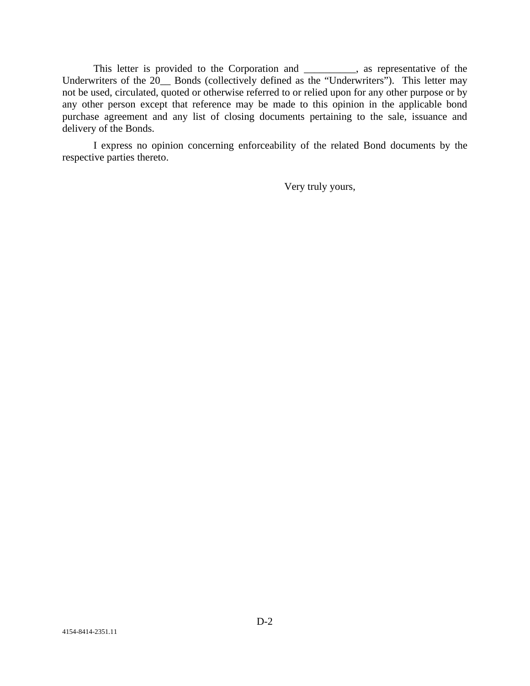This letter is provided to the Corporation and \_\_\_\_\_\_\_\_\_\_, as representative of the Underwriters of the 20\_\_ Bonds (collectively defined as the "Underwriters"). This letter may not be used, circulated, quoted or otherwise referred to or relied upon for any other purpose or by any other person except that reference may be made to this opinion in the applicable bond purchase agreement and any list of closing documents pertaining to the sale, issuance and delivery of the Bonds.

I express no opinion concerning enforceability of the related Bond documents by the respective parties thereto.

Very truly yours,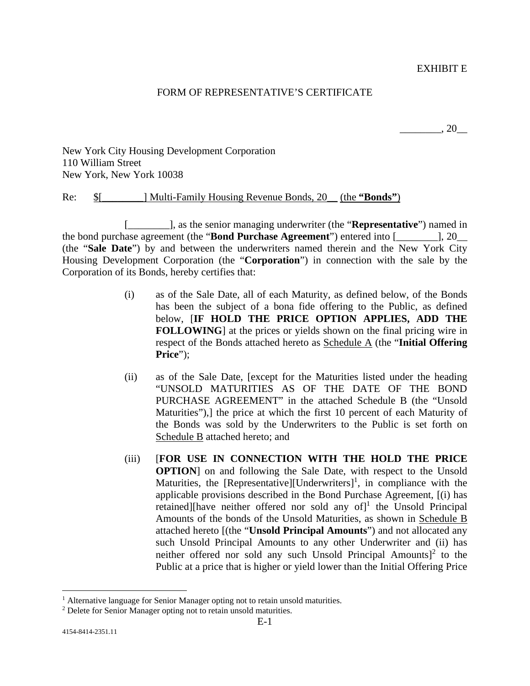EXHIBIT E

#### FORM OF REPRESENTATIVE'S CERTIFICATE

 $\frac{1}{20}$ , 20

New York City Housing Development Corporation 110 William Street New York, New York 10038

Re: \$[\_\_\_\_\_\_\_\_] Multi-Family Housing Revenue Bonds, 20\_\_ (the **"Bonds"**)

[\_\_\_\_\_\_\_\_], as the senior managing underwriter (the "**Representative**") named in the bond purchase agreement (the "**Bond Purchase Agreement**") entered into [\_\_\_\_\_\_\_\_], 20\_\_ (the "**Sale Date**") by and between the underwriters named therein and the New York City Housing Development Corporation (the "**Corporation**") in connection with the sale by the Corporation of its Bonds, hereby certifies that:

- (i) as of the Sale Date, all of each Maturity, as defined below, of the Bonds has been the subject of a bona fide offering to the Public, as defined below, [**IF HOLD THE PRICE OPTION APPLIES, ADD THE FOLLOWING**] at the prices or yields shown on the final pricing wire in respect of the Bonds attached hereto as Schedule A (the "**Initial Offering Price**");
- (ii) as of the Sale Date, [except for the Maturities listed under the heading "UNSOLD MATURITIES AS OF THE DATE OF THE BOND PURCHASE AGREEMENT" in the attached Schedule B (the "Unsold Maturities"),] the price at which the first 10 percent of each Maturity of the Bonds was sold by the Underwriters to the Public is set forth on Schedule B attached hereto; and
- (iii) [**FOR USE IN CONNECTION WITH THE HOLD THE PRICE OPTION**] on and following the Sale Date, with respect to the Unsold Maturities, the [Representative][Underwriters]<sup>1</sup>, in compliance with the applicable provisions described in the Bond Purchase Agreement, [(i) has retained][have neither offered nor sold any of]<sup>1</sup> the Unsold Principal Amounts of the bonds of the Unsold Maturities, as shown in Schedule B attached hereto [(the "**Unsold Principal Amounts**") and not allocated any such Unsold Principal Amounts to any other Underwriter and (ii) has neither offered nor sold any such Unsold Principal Amounts $]$ <sup>2</sup> to the Public at a price that is higher or yield lower than the Initial Offering Price

<sup>&</sup>lt;sup>1</sup> Alternative language for Senior Manager opting not to retain unsold maturities.

 $2^2$  Delete for Senior Manager opting not to retain unsold maturities.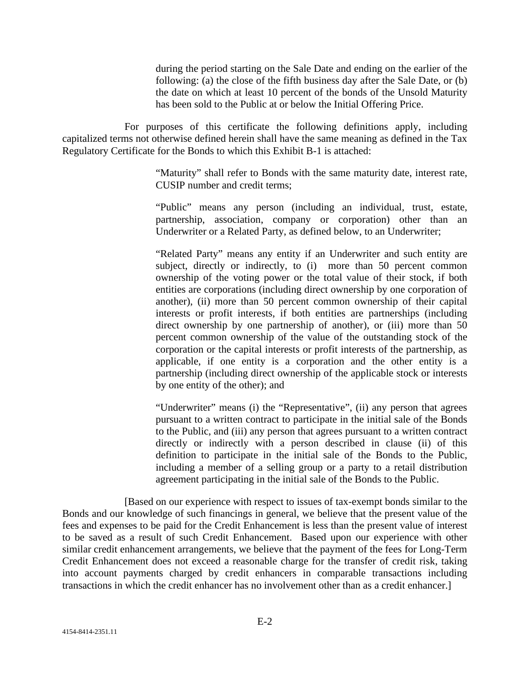during the period starting on the Sale Date and ending on the earlier of the following: (a) the close of the fifth business day after the Sale Date, or (b) the date on which at least 10 percent of the bonds of the Unsold Maturity has been sold to the Public at or below the Initial Offering Price.

For purposes of this certificate the following definitions apply, including capitalized terms not otherwise defined herein shall have the same meaning as defined in the Tax Regulatory Certificate for the Bonds to which this Exhibit B-1 is attached:

> "Maturity" shall refer to Bonds with the same maturity date, interest rate, CUSIP number and credit terms;

> "Public" means any person (including an individual, trust, estate, partnership, association, company or corporation) other than an Underwriter or a Related Party, as defined below, to an Underwriter;

> "Related Party" means any entity if an Underwriter and such entity are subject, directly or indirectly, to (i) more than 50 percent common ownership of the voting power or the total value of their stock, if both entities are corporations (including direct ownership by one corporation of another), (ii) more than 50 percent common ownership of their capital interests or profit interests, if both entities are partnerships (including direct ownership by one partnership of another), or (iii) more than 50 percent common ownership of the value of the outstanding stock of the corporation or the capital interests or profit interests of the partnership, as applicable, if one entity is a corporation and the other entity is a partnership (including direct ownership of the applicable stock or interests by one entity of the other); and

> "Underwriter" means (i) the "Representative", (ii) any person that agrees pursuant to a written contract to participate in the initial sale of the Bonds to the Public, and (iii) any person that agrees pursuant to a written contract directly or indirectly with a person described in clause (ii) of this definition to participate in the initial sale of the Bonds to the Public, including a member of a selling group or a party to a retail distribution agreement participating in the initial sale of the Bonds to the Public.

[Based on our experience with respect to issues of tax-exempt bonds similar to the Bonds and our knowledge of such financings in general, we believe that the present value of the fees and expenses to be paid for the Credit Enhancement is less than the present value of interest to be saved as a result of such Credit Enhancement. Based upon our experience with other similar credit enhancement arrangements, we believe that the payment of the fees for Long-Term Credit Enhancement does not exceed a reasonable charge for the transfer of credit risk, taking into account payments charged by credit enhancers in comparable transactions including transactions in which the credit enhancer has no involvement other than as a credit enhancer.]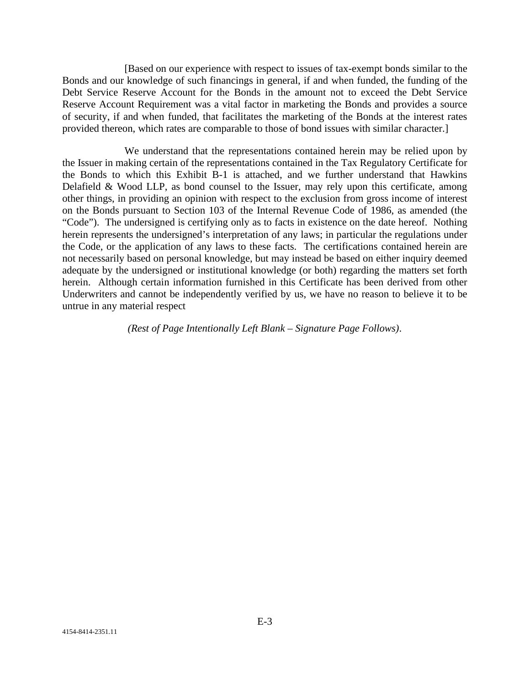[Based on our experience with respect to issues of tax-exempt bonds similar to the Bonds and our knowledge of such financings in general, if and when funded, the funding of the Debt Service Reserve Account for the Bonds in the amount not to exceed the Debt Service Reserve Account Requirement was a vital factor in marketing the Bonds and provides a source of security, if and when funded, that facilitates the marketing of the Bonds at the interest rates provided thereon, which rates are comparable to those of bond issues with similar character.]

We understand that the representations contained herein may be relied upon by the Issuer in making certain of the representations contained in the Tax Regulatory Certificate for the Bonds to which this Exhibit B-1 is attached, and we further understand that Hawkins Delafield & Wood LLP, as bond counsel to the Issuer, may rely upon this certificate, among other things, in providing an opinion with respect to the exclusion from gross income of interest on the Bonds pursuant to Section 103 of the Internal Revenue Code of 1986, as amended (the "Code"). The undersigned is certifying only as to facts in existence on the date hereof. Nothing herein represents the undersigned's interpretation of any laws; in particular the regulations under the Code, or the application of any laws to these facts. The certifications contained herein are not necessarily based on personal knowledge, but may instead be based on either inquiry deemed adequate by the undersigned or institutional knowledge (or both) regarding the matters set forth herein. Although certain information furnished in this Certificate has been derived from other Underwriters and cannot be independently verified by us, we have no reason to believe it to be untrue in any material respect

*(Rest of Page Intentionally Left Blank – Signature Page Follows)*.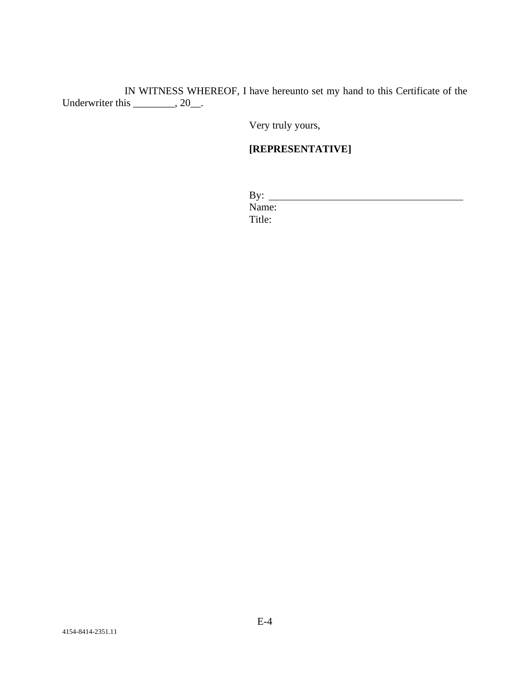IN WITNESS WHEREOF, I have hereunto set my hand to this Certificate of the Underwriter this \_\_\_\_\_\_\_, 20\_.

Very truly yours,

# **[REPRESENTATIVE]**

| By:    |  |  |
|--------|--|--|
| Name:  |  |  |
| Title: |  |  |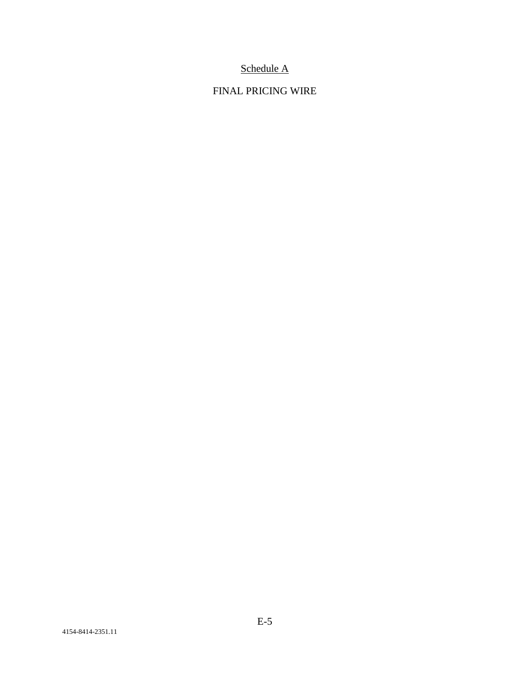# Schedule A

# FINAL PRICING WIRE